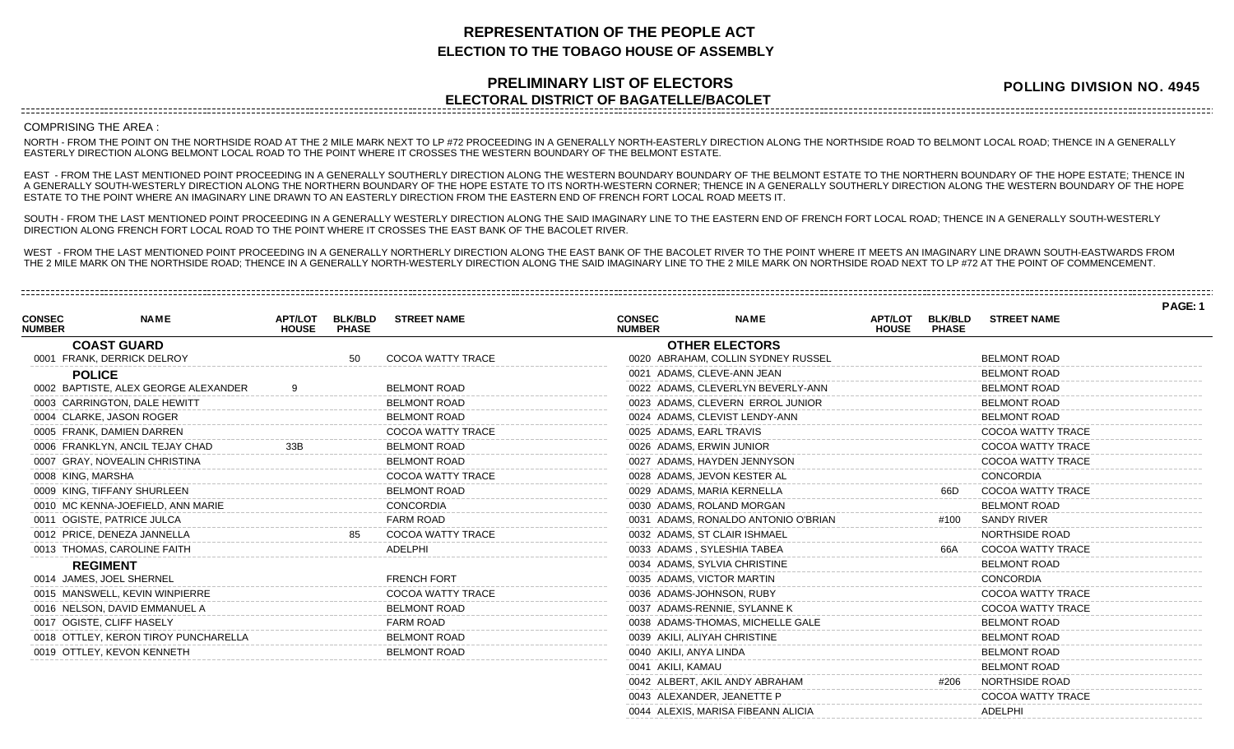## **REPRESENTATION OF THE PEOPLE ACT ELECTION TO THE TOBAGO HOUSE OF ASSEMBLY**

## **PRELIMINARY LIST OF ELECTORS ELECTORAL DISTRICT OF BAGATELLE/BACOLET**

**POLLING DIVISION NO. 4945**

**PAGE: 1**

## COMPRISING THE AREA :

NORTH - FROM THE POINT ON THE NORTHSIDE ROAD AT THE 2 MILE MARK NEXT TO LP #72 PROCEEDING IN A GENERALLY NORTH-EASTERLY DIRECTION ALONG THE NORTHSIDE ROAD TO BELMONT LOCAL ROAD; THENCE IN A GENERALLY EASTERLY DIRECTION ALONG BELMONT LOCAL ROAD TO THE POINT WHERE IT CROSSES THE WESTERN BOUNDARY OF THE BELMONT ESTATE.

EAST - FROM THE LAST MENTIONED POINT PROCEEDING IN A GENERALLY SOUTHERLY DIRECTION ALONG THE WESTERN BOUNDARY BOUNDARY OF THE BELMONT ESTATE TO THE NORTHERN BOUNDARY OF THE HOPE ESTATE; THENCE IN A GENERALLY SOUTH-WESTERLY DIRECTION ALONG THE NORTHERN BOUNDARY OF THE HOPE ESTATE TO ITS NORTH-WESTERN CORNER; THENCE IN A GENERALLY SOUTHERLY DIRECTION ALONG THE WESTERN BOUNDARY OF THE HOPE ESTATE TO THE POINT WHERE AN IMAGINARY LINE DRAWN TO AN EASTERLY DIRECTION FROM THE EASTERN END OF FRENCH FORT LOCAL ROAD MEETS IT.

SOUTH - FROM THE LAST MENTIONED POINT PROCEEDING IN A GENERALLY WESTERLY DIRECTION ALONG THE SAID IMAGINARY LINE TO THE EASTERN END OF FRENCH FORT LOCAL ROAD; THENCE IN A GENERALLY SOUTH-WESTERLY DIRECTION ALONG FRENCH FORT LOCAL ROAD TO THE POINT WHERE IT CROSSES THE EAST BANK OF THE BACOLET RIVER.

WEST - FROM THE LAST MENTIONED POINT PROCEEDING IN A GENERALLY NORTHERLY DIRECTION ALONG THE EAST BANK OF THE BACOLET RIVER TO THE POINT WHERE IT MEETS AN IMAGINARY LINE DRAWN SOUTH-EASTWARDS FROM THE 2 MILE MARK ON THE NORTHSIDE ROAD; THENCE IN A GENERALLY NORTH-WESTERLY DIRECTION ALONG THE SAID IMAGINARY LINE TO THE 2 MILE MARK ON NORTHSIDE ROAD NEXT TO LP #72 AT THE POINT OF COMMENCEMENT.

| <b>CONSEC</b><br><b>NUMBER</b> | <b>NAME</b>                          | <b>APT/LOT</b><br><b>HOUSE</b> | <b>BLK/BLD</b><br><b>PHASE</b> | <b>STREET NAME</b>       | <b>CONSEC</b><br><b>NUMBER</b> | <b>NAME</b>                         | <b>APT/LOT</b><br><b>HOUSE</b> | <b>BLK/BLD</b><br><b>PHASE</b> | <b>STREET NAME</b>  |  |
|--------------------------------|--------------------------------------|--------------------------------|--------------------------------|--------------------------|--------------------------------|-------------------------------------|--------------------------------|--------------------------------|---------------------|--|
|                                | <b>COAST GUARD</b>                   |                                |                                |                          |                                | <b>OTHER ELECTORS</b>               |                                |                                |                     |  |
|                                | 0001 FRANK, DERRICK DELROY           |                                |                                | <b>COCOA WATTY TRACE</b> |                                | 0020 ABRAHAM, COLLIN SYDNEY RUSSEL  |                                |                                | <b>BELMONT ROAD</b> |  |
|                                | <b>POLICE</b>                        |                                |                                |                          | 0021 ADAMS, CLEVE-ANN JEAN     |                                     |                                |                                | <b>BELMONT ROAD</b> |  |
|                                | 0002 BAPTISTE, ALEX GEORGE ALEXANDER |                                |                                | <b>BELMONT ROAD</b>      |                                | 0022 ADAMS, CLEVERLYN BEVERLY-ANN   |                                |                                | <b>BELMONT ROAD</b> |  |
|                                | 0003 CARRINGTON, DALE HEWITT         |                                |                                | <b>BELMONT ROAD</b>      |                                | 0023 ADAMS, CLEVERN ERROL JUNIOR    |                                |                                | <b>BELMONT ROAD</b> |  |
|                                | 0004 CLARKE, JASON ROGER             |                                |                                | <b>BELMONT ROAD</b>      |                                | 0024 ADAMS, CLEVIST LENDY-ANN       |                                |                                | <b>BELMONT ROAD</b> |  |
|                                | 0005 FRANK, DAMIEN DARREN            |                                |                                | <b>COCOA WATTY TRACE</b> | 0025 ADAMS, EARL TRAVIS        |                                     |                                |                                | COCOA WATTY TRACE   |  |
|                                | 0006 FRANKLYN, ANCIL TEJAY CHAD      |                                |                                | <b>BELMONT ROAD</b>      | 0026 ADAMS, ERWIN JUNIOR       |                                     |                                |                                | COCOA WATTY TRACE   |  |
|                                | 0007 GRAY, NOVEALIN CHRISTINA        |                                |                                | <b>BELMONT ROAD</b>      |                                | 0027 ADAMS, HAYDEN JENNYSON         |                                |                                | COCOA WATTY TRACE   |  |
|                                | 0008 KING, MARSHA                    |                                |                                | COCOA WATTY TRACE        | 0028 ADAMS, JEVON KESTER AL    |                                     |                                |                                | CONCORDIA           |  |
|                                | 0009 KING, TIFFANY SHURLEEN          |                                |                                | <b>BELMONT ROAD</b>      | 0029 ADAMS, MARIA KERNELLA     |                                     |                                | 66D                            | COCOA WATTY TRACE   |  |
|                                | 0010 MC KENNA-JOEFIELD, ANN MARIE    |                                |                                | <b>CONCORDIA</b>         | 0030 ADAMS, ROLAND MORGAN      |                                     |                                |                                | <b>BELMONT ROAD</b> |  |
|                                | 0011 OGISTE, PATRICE JULCA           |                                |                                | <b>FARM ROAD</b>         |                                | 0031 ADAMS, RONALDO ANTONIO O'BRIAN |                                | #100                           | <b>SANDY RIVER</b>  |  |
|                                | 0012 PRICE, DENEZA JANNELLA          |                                | 85                             | COCOA WATTY TRACE        | 0032 ADAMS, ST CLAIR ISHMAEL   |                                     |                                |                                | NORTHSIDE ROAD      |  |
|                                | 0013 THOMAS, CAROLINE FAITH          |                                |                                | <b>ADELPHI</b>           | 0033 ADAMS, SYLESHIA TABEA     |                                     |                                | 66A                            | COCOA WATTY TRACE   |  |
|                                | <b>REGIMENT</b>                      |                                |                                |                          | 0034 ADAMS, SYLVIA CHRISTINE   |                                     |                                |                                | <b>BELMONT ROAD</b> |  |
|                                | 0014 JAMES, JOEL SHERNEL             |                                |                                | <b>FRENCH FORT</b>       | 0035 ADAMS, VICTOR MARTIN      |                                     |                                |                                | <b>CONCORDIA</b>    |  |
|                                | 0015 MANSWELL, KEVIN WINPIERRE       |                                |                                | COCOA WATTY TRACE        | 0036 ADAMS-JOHNSON, RUBY       |                                     |                                |                                | COCOA WATTY TRACE   |  |
|                                | 0016 NELSON, DAVID EMMANUEL A        |                                |                                | <b>BELMONT ROAD</b>      |                                | 0037 ADAMS-RENNIE, SYLANNE K        |                                |                                | COCOA WATTY TRACE   |  |
|                                | 0017 OGISTE, CLIFF HASELY            |                                |                                | <b>FARM ROAD</b>         |                                | 0038 ADAMS-THOMAS, MICHELLE GALE    |                                |                                | <b>BELMONT ROAD</b> |  |
|                                | 0018 OTTLEY, KERON TIROY PUNCHARELLA |                                |                                | <b>BELMONT ROAD</b>      | 0039 AKILI, ALIYAH CHRISTINE   |                                     |                                |                                | <b>BELMONT ROAD</b> |  |
|                                | 0019 OTTLEY, KEVON KENNETH           |                                |                                | <b>BELMONT ROAD</b>      | 0040 AKILI, ANYA LINDA         |                                     |                                |                                | <b>BELMONT ROAD</b> |  |
|                                |                                      |                                |                                |                          | 0041 AKILI, KAMAU              |                                     |                                |                                | <b>BELMONT ROAD</b> |  |
|                                |                                      |                                |                                |                          |                                | 0042 ALBERT, AKIL ANDY ABRAHAM      |                                | #206                           | NORTHSIDE ROAD      |  |
|                                |                                      |                                |                                |                          | 0043 ALEXANDER, JEANETTE P     |                                     |                                |                                | COCOA WATTY TRACE   |  |

0044 ALEXIS, MARISA FIBEANN ALICIA ADELPHI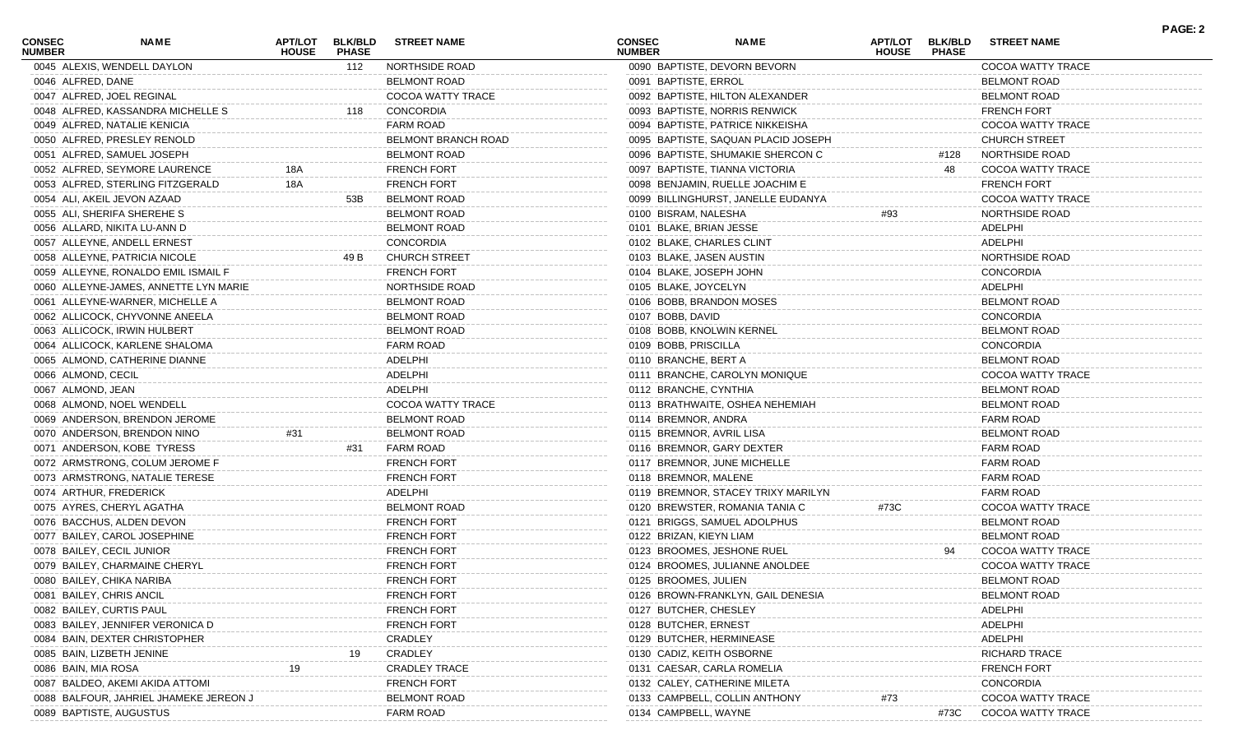| <b>CONSEC</b><br><b>NUMBER</b> | NAME                                   | <b>APT/LOT</b><br><b>HOUSE</b> | <b>BLK/BLD</b><br><b>PHASE</b> | <b>STREET NAME</b>   | <b>CONSEC</b><br><b>NUMBER</b> |                         | <b>NAME</b>                         | APT/LOT<br><b>HOUSE</b> | <b>BLK/BLD</b><br><b>PHASE</b> | <b>STREET NAME</b>   | <b>PAGE: 2</b> |
|--------------------------------|----------------------------------------|--------------------------------|--------------------------------|----------------------|--------------------------------|-------------------------|-------------------------------------|-------------------------|--------------------------------|----------------------|----------------|
|                                | 0045 ALEXIS, WENDELL DAYLON            |                                | 112                            | NORTHSIDE ROAD       |                                |                         | 0090 BAPTISTE, DEVORN BEVORN        |                         |                                | COCOA WATTY TRACE    |                |
| 0046 ALFRED, DANE              |                                        |                                |                                | <b>BELMONT ROAD</b>  |                                | 0091 BAPTISTE, ERROL    |                                     |                         |                                | <b>BELMONT ROAD</b>  |                |
|                                | 0047 ALFRED, JOEL REGINAL              |                                |                                | COCOA WATTY TRACE    |                                |                         | 0092 BAPTISTE, HILTON ALEXANDER     |                         |                                | <b>BELMONT ROAD</b>  |                |
|                                | 0048 ALFRED, KASSANDRA MICHELLE S      |                                | 118                            | CONCORDIA            |                                |                         | 0093 BAPTISTE, NORRIS RENWICK       |                         |                                | <b>FRENCH FORT</b>   |                |
|                                | 0049 ALFRED, NATALIE KENICIA           |                                |                                | <b>FARM ROAD</b>     |                                |                         | 0094 BAPTISTE, PATRICE NIKKEISHA    |                         |                                | COCOA WATTY TRACE    |                |
|                                | 0050 ALFRED, PRESLEY RENOLD            |                                |                                | BELMONT BRANCH ROAD  |                                |                         | 0095 BAPTISTE, SAQUAN PLACID JOSEPH |                         |                                | <b>CHURCH STREET</b> |                |
|                                | 0051 ALFRED, SAMUEL JOSEPH             |                                |                                | <b>BELMONT ROAD</b>  |                                |                         | 0096 BAPTISTE, SHUMAKIE SHERCON C   |                         | #128                           | NORTHSIDE ROAD       |                |
|                                | 0052 ALFRED, SEYMORE LAURENCE          | 18A                            |                                | <b>FRENCH FORT</b>   |                                |                         | 0097 BAPTISTE, TIANNA VICTORIA      |                         | 48                             | COCOA WATTY TRACE    |                |
|                                | 0053 ALFRED, STERLING FITZGERALD       | 18A                            |                                | <b>FRENCH FORT</b>   |                                |                         | 0098 BENJAMIN, RUELLE JOACHIM E     |                         |                                | <b>FRENCH FORT</b>   |                |
|                                | 0054 ALI, AKEIL JEVON AZAAD            |                                | 53B                            | <b>BELMONT ROAD</b>  |                                |                         | 0099 BILLINGHURST, JANELLE EUDANYA  |                         |                                | COCOA WATTY TRACE    |                |
|                                | 0055 ALI, SHERIFA SHEREHE S            |                                |                                | <b>BELMONT ROAD</b>  |                                | 0100 BISRAM, NALESHA    |                                     | #93                     |                                | NORTHSIDE ROAD       |                |
|                                | 0056 ALLARD, NIKITA LU-ANN D           |                                |                                | <b>BELMONT ROAD</b>  |                                | 0101 BLAKE, BRIAN JESSE |                                     |                         |                                | ADELPHI              |                |
|                                | 0057 ALLEYNE, ANDELL ERNEST            |                                |                                | CONCORDIA            |                                |                         | 0102 BLAKE, CHARLES CLINT           |                         |                                | ADELPHI              |                |
|                                | 0058 ALLEYNE, PATRICIA NICOLE          |                                | 49 B                           | <b>CHURCH STREET</b> |                                |                         | 0103 BLAKE, JASEN AUSTIN            |                         |                                | NORTHSIDE ROAD       |                |
|                                | 0059 ALLEYNE, RONALDO EMIL ISMAIL F    |                                |                                | <b>FRENCH FORT</b>   |                                |                         | 0104 BLAKE, JOSEPH JOHN             |                         |                                | <b>CONCORDIA</b>     |                |
|                                | 0060 ALLEYNE-JAMES, ANNETTE LYN MARIE  |                                |                                | NORTHSIDE ROAD       |                                | 0105 BLAKE, JOYCELYN    |                                     |                         |                                | ADELPHI              |                |
|                                | 0061 ALLEYNE-WARNER, MICHELLE A        |                                |                                | <b>BELMONT ROAD</b>  |                                |                         | 0106 BOBB, BRANDON MOSES            |                         |                                | <b>BELMONT ROAD</b>  |                |
|                                | 0062 ALLICOCK, CHYVONNE ANEELA         |                                |                                | <b>BELMONT ROAD</b>  |                                | 0107 BOBB, DAVID        |                                     |                         |                                | <b>CONCORDIA</b>     |                |
|                                | 0063 ALLICOCK, IRWIN HULBERT           |                                |                                | <b>BELMONT ROAD</b>  |                                |                         | 0108 BOBB, KNOLWIN KERNEL           |                         |                                | <b>BELMONT ROAD</b>  |                |
|                                | 0064 ALLICOCK, KARLENE SHALOMA         |                                |                                | <b>FARM ROAD</b>     |                                | 0109 BOBB, PRISCILLA    |                                     |                         |                                | <b>CONCORDIA</b>     |                |
|                                | 0065 ALMOND, CATHERINE DIANNE          |                                |                                | ADELPHI              |                                | 0110 BRANCHE, BERT A    |                                     |                         |                                | <b>BELMONT ROAD</b>  |                |
| 0066 ALMOND, CECIL             |                                        |                                |                                | ADELPHI              |                                |                         | 0111 BRANCHE, CAROLYN MONIQUE       |                         |                                | COCOA WATTY TRACE    |                |
| 0067 ALMOND, JEAN              |                                        |                                |                                | ADELPHI              |                                | 0112 BRANCHE, CYNTHIA   |                                     |                         |                                | <b>BELMONT ROAD</b>  |                |
|                                | 0068 ALMOND, NOEL WENDELL              |                                |                                | COCOA WATTY TRACE    |                                |                         | 0113 BRATHWAITE, OSHEA NEHEMIAH     |                         |                                | <b>BELMONT ROAD</b>  |                |
|                                |                                        |                                |                                | <b>BELMONT ROAD</b>  |                                |                         |                                     |                         |                                |                      |                |
|                                | 0069 ANDERSON, BRENDON JEROME          |                                |                                |                      |                                | 0114 BREMNOR, ANDRA     |                                     |                         |                                | <b>FARM ROAD</b>     |                |
|                                | 0070 ANDERSON, BRENDON NINO            | #31                            |                                | <b>BELMONT ROAD</b>  |                                |                         | 0115 BREMNOR, AVRIL LISA            |                         |                                | <b>BELMONT ROAD</b>  |                |
|                                | 0071 ANDERSON, KOBE TYRESS             |                                | #31                            | <b>FARM ROAD</b>     |                                |                         | 0116 BREMNOR, GARY DEXTER           |                         |                                | <b>FARM ROAD</b>     |                |
|                                | 0072 ARMSTRONG, COLUM JEROME F         |                                |                                | <b>FRENCH FORT</b>   |                                |                         | 0117 BREMNOR, JUNE MICHELLE         |                         |                                | <b>FARM ROAD</b>     |                |
|                                | 0073 ARMSTRONG, NATALIE TERESE         |                                |                                | <b>FRENCH FORT</b>   |                                | 0118 BREMNOR, MALENE    |                                     |                         |                                | <b>FARM ROAD</b>     |                |
|                                | 0074 ARTHUR, FREDERICK                 |                                |                                | ADELPHI              |                                |                         | 0119 BREMNOR, STACEY TRIXY MARILYN  |                         |                                | FARM ROAD            |                |
|                                | 0075 AYRES, CHERYL AGATHA              |                                |                                | <b>BELMONT ROAD</b>  |                                |                         | 0120 BREWSTER, ROMANIA TANIA C      | #73C                    |                                | COCOA WATTY TRACE    |                |
|                                | 0076 BACCHUS, ALDEN DEVON              |                                |                                | <b>FRENCH FORT</b>   |                                |                         | 0121 BRIGGS, SAMUEL ADOLPHUS        |                         |                                | <b>BELMONT ROAD</b>  |                |
|                                | 0077 BAILEY, CAROL JOSEPHINE           |                                |                                | <b>FRENCH FORT</b>   |                                | 0122 BRIZAN, KIEYN LIAM |                                     |                         |                                | <b>BELMONT ROAD</b>  |                |
|                                | 0078 BAILEY, CECIL JUNIOR              |                                |                                | <b>FRENCH FORT</b>   |                                |                         | 0123 BROOMES, JESHONE RUEL          |                         | 94                             | COCOA WATTY TRACE    |                |
|                                | 0079 BAILEY, CHARMAINE CHERYL          |                                |                                | <b>FRENCH FORT</b>   |                                |                         | 0124 BROOMES, JULIANNE ANOLDEE      |                         |                                | COCOA WATTY TRACE    |                |
|                                | 0080 BAILEY, CHIKA NARIBA              |                                |                                | <b>FRENCH FORT</b>   |                                | 0125 BROOMES, JULIEN    |                                     |                         |                                | <b>BELMONT ROAD</b>  |                |
|                                | 0081 BAILEY, CHRIS ANCIL               |                                |                                | <b>FRENCH FORT</b>   |                                |                         | 0126 BROWN-FRANKLYN, GAIL DENESI    |                         |                                | <b>BELMONT ROAD</b>  |                |
|                                | 0082 BAILEY, CURTIS PAUL               |                                |                                | <b>FRENCH FORT</b>   |                                | 0127 BUTCHER, CHESLEY   |                                     |                         |                                | ADELPHI              |                |
|                                | 0083 BAILEY, JENNIFER VERONICA D       |                                |                                | <b>FRENCH FORT</b>   |                                | 0128 BUTCHER, ERNEST    |                                     |                         |                                | ADELPHI              |                |
|                                | 0084 BAIN, DEXTER CHRISTOPHER          |                                |                                | CRADLEY              |                                |                         | 0129 BUTCHER, HERMINEASE            |                         |                                | ADELPHI              |                |
|                                | 0085 BAIN, LIZBETH JENINE              |                                |                                | CRADLEY              |                                |                         | 0130 CADIZ, KEITH OSBORNE           |                         |                                | <b>RICHARD TRACE</b> |                |
| 0086 BAIN, MIA ROSA            |                                        |                                |                                | <b>CRADLEY TRACE</b> |                                |                         | 0131 CAESAR, CARLA ROMELIA          |                         |                                | <b>FRENCH FORT</b>   |                |
|                                | 0087 BALDEO, AKEMI AKIDA ATTOMI        |                                |                                | <b>FRENCH FORT</b>   |                                |                         | 0132 CALEY, CATHERINE MILETA        |                         |                                | CONCORDIA            |                |
|                                | 0088 BALFOUR, JAHRIEL JHAMEKE JEREON J |                                |                                | <b>BELMONT ROAD</b>  |                                |                         | 0133 CAMPBELL, COLLIN ANTHONY       | #73                     |                                | COCOA WATTY TRACE    |                |
|                                | 0089 BAPTISTE, AUGUSTUS                |                                |                                | <b>FARM ROAD</b>     |                                | 0134 CAMPBELL, WAYNE    |                                     |                         | #73C                           | COCOA WATTY TRACE    |                |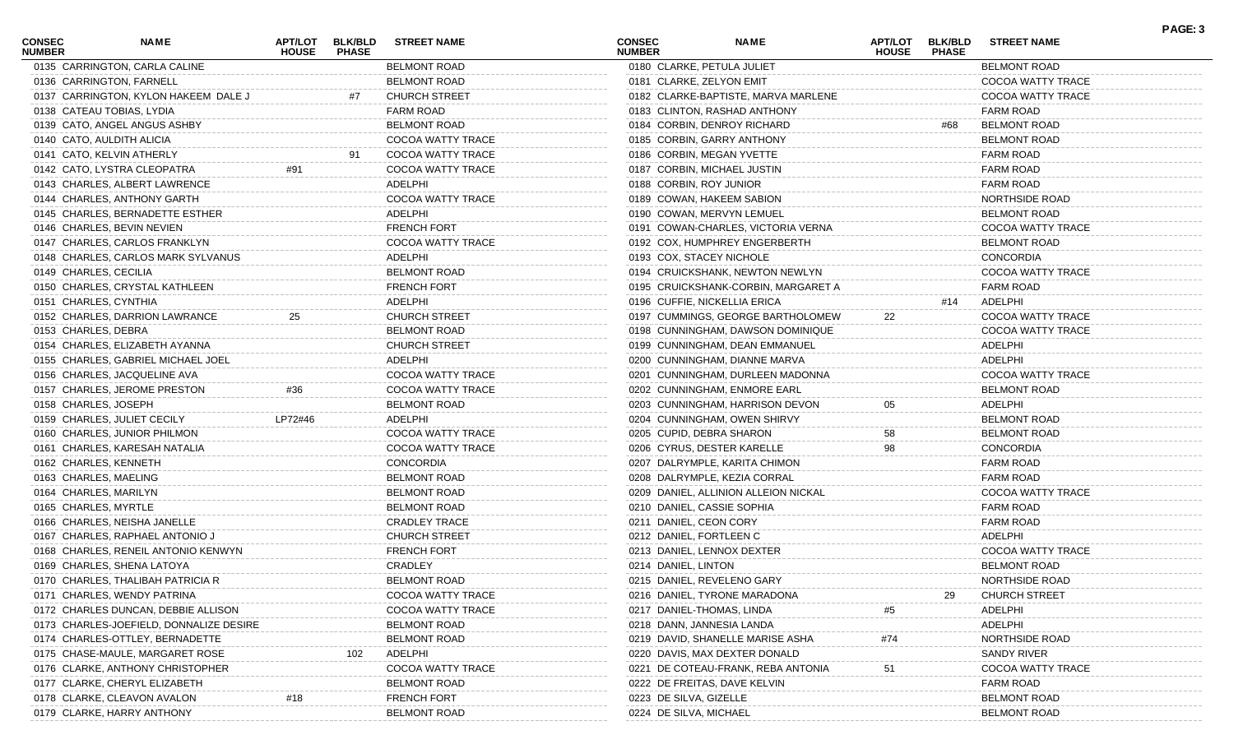| <b>CONSEC</b><br><b>NUMBER</b> | NAME                                    | APT/LOT<br><b>HOUSE</b> | <b>BLK/BLD</b><br><b>PHASE</b> | <b>STREET NAME</b>       | <b>CONSEC</b><br><b>NUMBER</b> | <b>NAME</b>                          | APT/LOT<br><b>HOUSE</b> | <b>BLK/BLD</b><br><b>PHASE</b> | <b>STREET NAME</b>   | PAGE: 3 |
|--------------------------------|-----------------------------------------|-------------------------|--------------------------------|--------------------------|--------------------------------|--------------------------------------|-------------------------|--------------------------------|----------------------|---------|
|                                | 0135 CARRINGTON, CARLA CALINE           |                         |                                | <b>BELMONT ROAD</b>      |                                | 0180 CLARKE, PETULA JULIET           |                         |                                | <b>BELMONT ROAD</b>  |         |
|                                | 0136 CARRINGTON, FARNELL                |                         |                                | <b>BELMONT ROAD</b>      |                                | 0181 CLARKE, ZELYON EMIT             |                         |                                | COCOA WATTY TRACE    |         |
|                                | 0137 CARRINGTON, KYLON HAKEEM DALE J    |                         | #7                             | <b>CHURCH STREET</b>     |                                | 0182 CLARKE-BAPTISTE, MARVA MARLENE  |                         |                                | COCOA WATTY TRACE    |         |
|                                | 0138 CATEAU TOBIAS, LYDIA               |                         |                                | <b>FARM ROAD</b>         |                                | 0183 CLINTON, RASHAD ANTHONY         |                         |                                | FARM ROAD            |         |
|                                | 0139 CATO, ANGEL ANGUS ASHBY            |                         |                                | <b>BELMONT ROAD</b>      |                                | 0184 CORBIN, DENROY RICHARD          |                         | #68                            | <b>BELMONT ROAD</b>  |         |
|                                | 0140 CATO, AULDITH ALICIA               |                         |                                | COCOA WATTY TRACE        |                                | 0185 CORBIN, GARRY ANTHONY           |                         |                                | <b>BELMONT ROAD</b>  |         |
|                                | 0141 CATO, KELVIN ATHERLY               |                         | 91                             | COCOA WATTY TRACE        |                                | 0186 CORBIN, MEGAN YVETTE            |                         |                                | <b>FARM ROAD</b>     |         |
|                                | 0142 CATO, LYSTRA CLEOPATRA             | #91                     |                                | COCOA WATTY TRACE        |                                | 0187 CORBIN, MICHAEL JUSTIN          |                         |                                | <b>FARM ROAD</b>     |         |
|                                | 0143 CHARLES, ALBERT LAWRENCE           |                         |                                | ADELPHI                  |                                | 0188 CORBIN, ROY JUNIOR              |                         |                                | <b>FARM ROAD</b>     |         |
|                                | 0144 CHARLES, ANTHONY GARTH             |                         |                                | COCOA WATTY TRACE        |                                | 0189 COWAN, HAKEEM SABION            |                         |                                | NORTHSIDE ROAD       |         |
|                                | 0145 CHARLES, BERNADETTE ESTHER         |                         |                                | ADELPHI                  |                                | 0190 COWAN, MERVYN LEMUEL            |                         |                                | <b>BELMONT ROAD</b>  |         |
|                                | 0146 CHARLES, BEVIN NEVIEN              |                         |                                | <b>FRENCH FORT</b>       |                                | 0191 COWAN-CHARLES, VICTORIA VERNA   |                         |                                | COCOA WATTY TRACE    |         |
|                                | 0147 CHARLES, CARLOS FRANKLYN           |                         |                                | COCOA WATTY TRACE        |                                | 0192 COX, HUMPHREY ENGERBERTH        |                         |                                | <b>BELMONT ROAD</b>  |         |
|                                | 0148 CHARLES, CARLOS MARK SYLVANUS      |                         |                                | ADELPHI                  |                                | 0193 COX, STACEY NICHOLE             |                         |                                | <b>CONCORDIA</b>     |         |
| 0149 CHARLES, CECILIA          |                                         |                         |                                | <b>BELMONT ROAD</b>      |                                | 0194 CRUICKSHANK, NEWTON NEWLYN      |                         |                                | COCOA WATTY TRACE    |         |
|                                | 0150 CHARLES, CRYSTAL KATHLEEN          |                         |                                | <b>FRENCH FORT</b>       |                                | 0195 CRUICKSHANK-CORBIN, MARGARET A  |                         |                                | FARM ROAD            |         |
|                                | 0151 CHARLES, CYNTHIA                   |                         |                                | ADELPHI                  |                                | 0196 CUFFIE, NICKELLIA ERICA         |                         | #14                            | ADELPHI              |         |
|                                | 0152 CHARLES, DARRION LAWRANCE          | 25                      |                                | <b>CHURCH STREET</b>     |                                | 0197 CUMMINGS, GEORGE BARTHOLOMEW    | 22                      |                                | COCOA WATTY TRACE    |         |
| 0153 CHARLES, DEBRA            |                                         |                         |                                | <b>BELMONT ROAD</b>      |                                | 0198 CUNNINGHAM, DAWSON DOMINIQUE    |                         |                                | COCOA WATTY TRACE    |         |
|                                | 0154 CHARLES, ELIZABETH AYANNA          |                         |                                | <b>CHURCH STREET</b>     |                                | 0199 CUNNINGHAM, DEAN EMMANUEL       |                         |                                | ADELPHI              |         |
|                                | 0155 CHARLES, GABRIEL MICHAEL JOEL      |                         |                                | ADELPHI                  |                                | 0200 CUNNINGHAM, DIANNE MARVA        |                         |                                | ADELPHI              |         |
|                                | 0156 CHARLES, JACQUELINE AVA            |                         |                                | COCOA WATTY TRACE        |                                | 0201 CUNNINGHAM, DURLEEN MADONNA     |                         |                                | COCOA WATTY TRACE    |         |
|                                | 0157 CHARLES, JEROME PRESTON            | #36                     |                                | COCOA WATTY TRACE        |                                | 0202 CUNNINGHAM, ENMORE EARL         |                         |                                | <b>BELMONT ROAD</b>  |         |
| 0158 CHARLES, JOSEPH           |                                         |                         |                                | <b>BELMONT ROAD</b>      |                                | 0203 CUNNINGHAM, HARRISON DEVON      | 05                      |                                | ADELPHI              |         |
|                                | 0159 CHARLES, JULIET CECILY             | LP72#46                 |                                | ADELPHI                  |                                | 0204 CUNNINGHAM, OWEN SHIRVY         |                         |                                | <b>BELMONT ROAD</b>  |         |
|                                | 0160 CHARLES, JUNIOR PHILMON            |                         |                                | COCOA WATTY TRACE        |                                | 0205 CUPID, DEBRA SHARON             |                         |                                | <b>BELMONT ROAD</b>  |         |
|                                |                                         |                         |                                | COCOA WATTY TRACE        |                                | 0206 CYRUS, DESTER KARELLE           | 58                      |                                | <b>CONCORDIA</b>     |         |
|                                | 0161 CHARLES, KARESAH NATALIA           |                         |                                |                          |                                |                                      | 98                      |                                |                      |         |
|                                | 0162 CHARLES, KENNETH                   |                         |                                | CONCORDIA                |                                | 0207 DALRYMPLE, KARITA CHIMON        |                         |                                | <b>FARM ROAD</b>     |         |
|                                | 0163 CHARLES, MAELING                   |                         |                                | <b>BELMONT ROAD</b>      |                                | 0208 DALRYMPLE, KEZIA CORRAL         |                         |                                | <b>FARM ROAD</b>     |         |
|                                | 0164 CHARLES, MARILYN                   |                         |                                | <b>BELMONT ROAD</b>      |                                | 0209 DANIEL, ALLINION ALLEION NICKAL |                         |                                | COCOA WATTY TRACE    |         |
|                                | 0165 CHARLES, MYRTLE                    |                         |                                | <b>BELMONT ROAD</b>      |                                | 0210 DANIEL, CASSIE SOPHIA           |                         |                                | <b>FARM ROAD</b>     |         |
|                                | 0166 CHARLES, NEISHA JANELLE            |                         |                                | <b>CRADLEY TRACE</b>     |                                | 0211 DANIEL, CEON CORY               |                         |                                | FARM ROAD            |         |
|                                | 0167 CHARLES, RAPHAEL ANTONIO J         |                         |                                | <b>CHURCH STREET</b>     |                                | 0212 DANIEL, FORTLEEN C              |                         |                                | ADELPHI              |         |
|                                | 0168 CHARLES, RENEIL ANTONIO KENWYN     |                         |                                | <b>FRENCH FORT</b>       |                                | 0213 DANIEL, LENNOX DEXTER           |                         |                                | COCOA WATTY TRACE    |         |
|                                | 0169 CHARLES, SHENA LATOYA              |                         |                                | CRADLEY                  |                                | 0214 DANIEL, LINTON                  |                         |                                | <b>BELMONT ROAD</b>  |         |
|                                | 0170 CHARLES, THALIBAH PATRICIA R       |                         |                                | <b>BELMONT ROAD</b>      |                                | 0215 DANIEL, REVELENO GARY           |                         |                                | NORTHSIDE ROAD       |         |
|                                | 0171 CHARLES, WENDY PATRINA             |                         |                                | COCOA WATTY TRACE        |                                | 0216 DANIEL, TYRONE MARADONA         |                         | 29                             | <b>CHURCH STREET</b> |         |
|                                | 0172 CHARLES DUNCAN, DEBBIE ALLISON     |                         |                                | COCOA WATTY TRACE        |                                | 0217 DANIEL-THOMAS, LINDA            | #5                      |                                | ADELPHI              |         |
|                                | 0173 CHARLES-JOEFIELD, DONNALIZE DESIRE |                         |                                | <b>BELMONT ROAD</b>      |                                | 0218 DANN, JANNESIA LANDA            |                         |                                | ADELPHI              |         |
|                                | 0174 CHARLES-OTTLEY, BERNADETTE         |                         |                                | <b>BELMONT ROAD</b>      |                                | 0219 DAVID, SHANELLE MARISE ASHA     | #74                     |                                | NORTHSIDE ROAD       |         |
|                                | 0175 CHASE-MAULE, MARGARET ROSE         |                         | 102                            | ADELPHI                  |                                | 0220 DAVIS, MAX DEXTER DONALD        |                         |                                | <b>SANDY RIVER</b>   |         |
|                                | 0176 CLARKE, ANTHONY CHRISTOPHER        |                         |                                | <b>COCOA WATTY TRACE</b> |                                | 0221 DE COTEAU-FRANK, REBA ANTONIA   | 51                      |                                | COCOA WATTY TRACE    |         |
|                                | 0177 CLARKE, CHERYL ELIZABETH           |                         |                                | <b>BELMONT ROAD</b>      |                                | 0222 DE FREITAS, DAVE KELVIN         |                         |                                | <b>FARM ROAD</b>     |         |
|                                | 0178 CLARKE, CLEAVON AVALON             | #18                     |                                | <b>FRENCH FORT</b>       |                                | 0223 DE SILVA, GIZELLE               |                         |                                | <b>BELMONT ROAD</b>  |         |
|                                | 0179 CLARKE, HARRY ANTHONY              |                         |                                | <b>BELMONT ROAD</b>      |                                | 0224 DE SILVA, MICHAEL               |                         |                                | <b>BELMONT ROAD</b>  |         |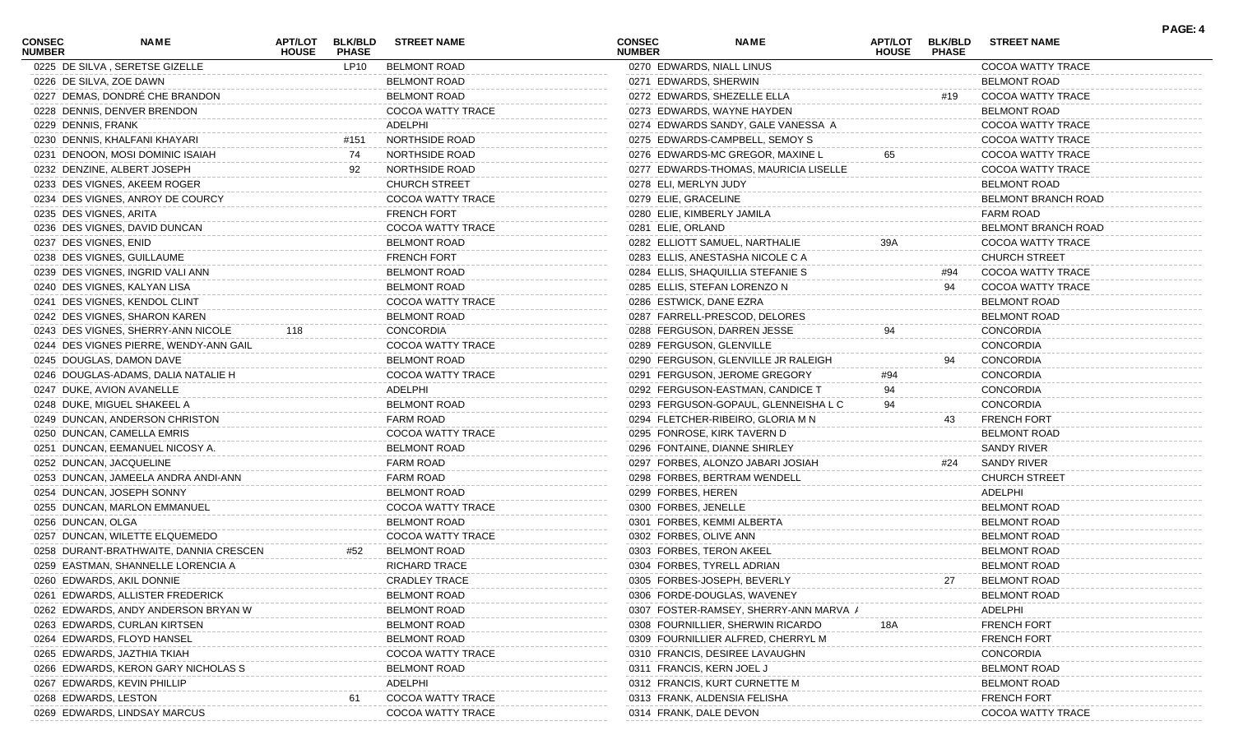| <b>CONSEC</b><br><b>NUMBER</b> | NAME                                   | APT/LOT<br><b>HOUSE</b> | <b>BLK/BLD</b><br><b>PHASE</b> | <b>STREET NAME</b>       | <b>CONSEC</b><br><b>NUMBER</b> |                           | <b>NAME</b>                           | APT/LOT<br><b>HOUSE</b> | <b>BLK/BLD</b><br><b>PHASE</b> | <b>STREET NAME</b>         | PAGE: 4 |
|--------------------------------|----------------------------------------|-------------------------|--------------------------------|--------------------------|--------------------------------|---------------------------|---------------------------------------|-------------------------|--------------------------------|----------------------------|---------|
|                                | 0225 DE SILVA, SERETSE GIZELLE         |                         | LP10                           | <b>BELMONT ROAD</b>      |                                |                           | 0270 EDWARDS, NIALL LINUS             |                         |                                | COCOA WATTY TRACE          |         |
|                                | 0226 DE SILVA, ZOE DAWN                |                         |                                | <b>BELMONT ROAD</b>      |                                | 0271 EDWARDS, SHERWIN     |                                       |                         |                                | <b>BELMONT ROAD</b>        |         |
|                                | 0227 DEMAS, DONDRÉ CHE BRANDON         |                         |                                | <b>BELMONT ROAD</b>      |                                |                           | 0272 EDWARDS, SHEZELLE ELLA           |                         | #19                            | COCOA WATTY TRACE          |         |
|                                | 0228 DENNIS, DENVER BRENDON            |                         |                                | COCOA WATTY TRACE        |                                |                           | 0273 EDWARDS, WAYNE HAYDEN            |                         |                                | <b>BELMONT ROAD</b>        |         |
| 0229 DENNIS, FRANK             |                                        |                         |                                | ADELPHI                  |                                |                           | 0274 EDWARDS SANDY, GALE VANESSA A    |                         |                                | COCOA WATTY TRACE          |         |
|                                | 0230 DENNIS, KHALFANI KHAYARI          |                         | #151                           | NORTHSIDE ROAD           |                                |                           | 0275 EDWARDS-CAMPBELL, SEMOY S        |                         |                                | COCOA WATTY TRACE          |         |
|                                | 0231 DENOON, MOSI DOMINIC ISAIAH       |                         | 74                             | NORTHSIDE ROAD           |                                |                           | 0276 EDWARDS-MC GREGOR, MAXINE L      | 65                      |                                | COCOA WATTY TRACE          |         |
|                                | 0232 DENZINE, ALBERT JOSEPH            |                         | 92                             | NORTHSIDE ROAD           |                                |                           | 0277 EDWARDS-THOMAS, MAURICIA LISELLE |                         |                                | COCOA WATTY TRACE          |         |
|                                | 0233 DES VIGNES, AKEEM ROGER           |                         |                                | <b>CHURCH STREET</b>     |                                | 0278 ELI, MERLYN JUDY     |                                       |                         |                                | <b>BELMONT ROAD</b>        |         |
|                                | 0234 DES VIGNES, ANROY DE COURCY       |                         |                                | COCOA WATTY TRACE        |                                | 0279 ELIE, GRACELINE      |                                       |                         |                                | <b>BELMONT BRANCH ROAD</b> |         |
|                                | 0235 DES VIGNES, ARITA                 |                         |                                | <b>FRENCH FORT</b>       |                                |                           | 0280 ELIE, KIMBERLY JAMILA            |                         |                                | <b>FARM ROAD</b>           |         |
|                                | 0236 DES VIGNES, DAVID DUNCAN          |                         |                                | COCOA WATTY TRACE        |                                | 0281 ELIE, ORLAND         |                                       |                         |                                | BELMONT BRANCH ROAD        |         |
| 0237 DES VIGNES, ENID          |                                        |                         |                                | <b>BELMONT ROAD</b>      |                                |                           | 0282 ELLIOTT SAMUEL, NARTHALIE        | 39A                     |                                | COCOA WATTY TRACE          |         |
|                                | 0238 DES VIGNES, GUILLAUME             |                         |                                | <b>FRENCH FORT</b>       |                                |                           | 0283 ELLIS, ANESTASHA NICOLE C A      |                         |                                | <b>CHURCH STREET</b>       |         |
|                                | 0239 DES VIGNES, INGRID VALI ANN       |                         |                                | <b>BELMONT ROAD</b>      |                                |                           | 0284 ELLIS, SHAQUILLIA STEFANIE S     |                         | #94                            | COCOA WATTY TRACE          |         |
|                                | 0240 DES VIGNES, KALYAN LISA           |                         |                                | <b>BELMONT ROAD</b>      |                                |                           | 0285 ELLIS, STEFAN LORENZO N          |                         | 94                             | COCOA WATTY TRACE          |         |
|                                | 0241 DES VIGNES, KENDOL CLINT          |                         |                                | COCOA WATTY TRACE        |                                | 0286 ESTWICK, DANE EZRA   |                                       |                         |                                | <b>BELMONT ROAD</b>        |         |
|                                | 0242 DES VIGNES, SHARON KAREN          |                         |                                | <b>BELMONT ROAD</b>      |                                |                           | 0287 FARRELL-PRESCOD, DELORES         |                         |                                | <b>BELMONT ROAD</b>        |         |
|                                | 0243 DES VIGNES, SHERRY-ANN NICOLE     | 118                     |                                | CONCORDIA                |                                |                           | 0288 FERGUSON, DARREN JESSE           |                         |                                | <b>CONCORDIA</b>           |         |
|                                | 0244 DES VIGNES PIERRE, WENDY-ANN GAIL |                         |                                | <b>COCOA WATTY TRACE</b> |                                |                           | 0289 FERGUSON, GLENVILLE              |                         |                                | <b>CONCORDIA</b>           |         |
|                                | 0245 DOUGLAS, DAMON DAVE               |                         |                                | <b>BELMONT ROAD</b>      |                                |                           | 0290 FERGUSON, GLENVILLE JR RALEIGH   |                         | 94                             | CONCORDIA                  |         |
|                                | 0246 DOUGLAS-ADAMS, DALIA NATALIE H    |                         |                                | COCOA WATTY TRACE        |                                |                           | 0291 FERGUSON, JEROME GREGORY         | #94                     |                                | <b>CONCORDIA</b>           |         |
|                                | 0247 DUKE, AVION AVANELLE              |                         |                                | ADELPHI                  |                                |                           | 0292 FERGUSON-EASTMAN, CANDICE T      | 94                      |                                | <b>CONCORDIA</b>           |         |
|                                | 0248 DUKE, MIGUEL SHAKEEL A            |                         |                                | <b>BELMONT ROAD</b>      |                                |                           | 0293 FERGUSON-GOPAUL, GLENNEISHA L C  |                         |                                | <b>CONCORDIA</b>           |         |
|                                |                                        |                         |                                | <b>FARM ROAD</b>         |                                |                           |                                       |                         |                                |                            |         |
|                                | 0249 DUNCAN, ANDERSON CHRISTON         |                         |                                |                          |                                |                           | 0294 FLETCHER-RIBEIRO, GLORIA M N     |                         | 43.                            | <b>FRENCH FORT</b>         |         |
|                                | 0250 DUNCAN, CAMELLA EMRIS             |                         |                                | COCOA WATTY TRACE        |                                |                           | 0295 FONROSE, KIRK TAVERN D           |                         |                                | <b>BELMONT ROAD</b>        |         |
|                                | 0251 DUNCAN, EEMANUEL NICOSY A.        |                         |                                | <b>BELMONT ROAD</b>      |                                |                           | 0296 FONTAINE, DIANNE SHIRLEY         |                         |                                | SANDY RIVER                |         |
|                                | 0252 DUNCAN, JACQUELINE                |                         |                                | <b>FARM ROAD</b>         |                                |                           | 0297 FORBES, ALONZO JABARI JOSIAH     |                         | #24                            | SANDY RIVER                |         |
|                                | 0253 DUNCAN, JAMEELA ANDRA ANDI-ANN    |                         |                                | <b>FARM ROAD</b>         |                                |                           | 0298 FORBES, BERTRAM WENDELL          |                         |                                | <b>CHURCH STREET</b>       |         |
|                                | 0254 DUNCAN, JOSEPH SONNY              |                         |                                | <b>BELMONT ROAD</b>      |                                | 0299 FORBES, HEREN        |                                       |                         |                                | ADELPHI                    |         |
|                                | 0255 DUNCAN, MARLON EMMANUEL           |                         |                                | <b>COCOA WATTY TRACE</b> |                                | 0300 FORBES, JENELLE      |                                       |                         |                                | <b>BELMONT ROAD</b>        |         |
| 0256 DUNCAN, OLGA              |                                        |                         |                                | <b>BELMONT ROAD</b>      |                                |                           | 0301 FORBES, KEMMI ALBERTA            |                         |                                | <b>BELMONT ROAD</b>        |         |
|                                | 0257 DUNCAN, WILETTE ELQUEMEDO         |                         |                                | COCOA WATTY TRACE        |                                | 0302 FORBES, OLIVE ANN    |                                       |                         |                                | <b>BELMONT ROAD</b>        |         |
|                                | 0258 DURANT-BRATHWAITE, DANNIA CRESCEN |                         | #52                            | <b>BELMONT ROAD</b>      |                                |                           | 0303 FORBES, TERON AKEEL              |                         |                                | <b>BELMONT ROAD</b>        |         |
|                                | 0259 EASTMAN, SHANNELLE LORENCIA A     |                         |                                | <b>RICHARD TRACE</b>     |                                |                           | 0304 FORBES, TYRELL ADRIAN            |                         |                                | <b>BELMONT ROAD</b>        |         |
|                                | 0260 EDWARDS, AKIL DONNIE              |                         |                                | <b>CRADLEY TRACE</b>     |                                |                           | 0305 FORBES-JOSEPH, BEVERLY           |                         | 27                             | <b>BELMONT ROAD</b>        |         |
|                                | 0261 EDWARDS, ALLISTER FREDERICK       |                         |                                | <b>BELMONT ROAD</b>      |                                |                           | 0306 FORDE-DOUGLAS, WAVENEY           |                         |                                | <b>BELMONT ROAD</b>        |         |
|                                | 0262 EDWARDS, ANDY ANDERSON BRYAN W    |                         |                                | <b>BELMONT ROAD</b>      |                                |                           | 0307 FOSTER-RAMSEY, SHERRY-ANN MARVA  |                         |                                | ADELPHI                    |         |
|                                | 0263 EDWARDS, CURLAN KIRTSEN           |                         |                                | <b>BELMONT ROAD</b>      |                                |                           | 0308 FOURNILLIER, SHERWIN RICARDO     | 18A                     |                                | <b>FRENCH FORT</b>         |         |
|                                | 0264 EDWARDS, FLOYD HANSEL             |                         |                                | <b>BELMONT ROAD</b>      |                                |                           | 0309 FOURNILLIER ALFRED, CHERRYL M    |                         |                                | <b>FRENCH FORT</b>         |         |
|                                | 0265 EDWARDS, JAZTHIA TKIAH            |                         |                                | COCOA WATTY TRACE        |                                |                           | 0310 FRANCIS, DESIREE LAVAUGHN        |                         |                                | CONCORDIA                  |         |
|                                | 0266 EDWARDS, KERON GARY NICHOLAS S    |                         |                                | BELMONT ROAD             |                                | 0311 FRANCIS, KERN JOEL J |                                       |                         |                                | <b>BELMONT ROAD</b>        |         |
|                                | 0267 EDWARDS, KEVIN PHILLIP            |                         |                                | ADELPHI                  |                                |                           | 0312 FRANCIS, KURT CURNETTE M         |                         |                                | <b>BELMONT ROAD</b>        |         |
|                                | 0268 EDWARDS, LESTON                   |                         | 61                             | COCOA WATTY TRACE        |                                |                           | 0313 FRANK, ALDENSIA FELISHA          |                         |                                | <b>FRENCH FORT</b>         |         |
|                                | 0269 EDWARDS, LINDSAY MARCUS           |                         |                                | COCOA WATTY TRACE        |                                | 0314 FRANK, DALE DEVON    |                                       |                         |                                | COCOA WATTY TRACE          |         |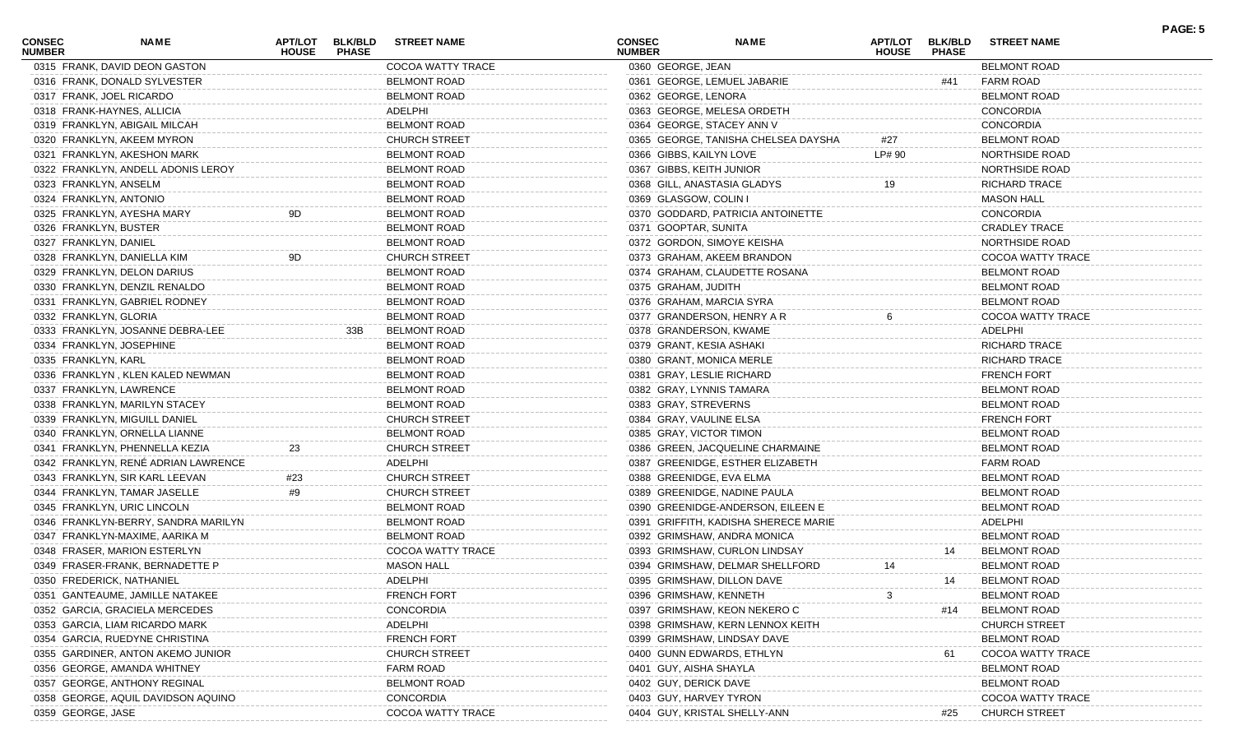| <b>CONSEC</b><br><b>NUMBER</b> | NAME                                                            | <b>APT/LOT</b><br><b>HOUSE</b> | <b>BLK/BLD</b><br><b>PHASE</b> | <b>STREET NAME</b>   | <b>CONSEC</b><br><b>NUMBER</b> |                          | <b>NAME</b>                          | APT/LOT<br><b>HOUSE</b> | <b>BLK/BLD</b><br><b>PHASE</b> | <b>STREET NAME</b>       | PAGE: 5 |
|--------------------------------|-----------------------------------------------------------------|--------------------------------|--------------------------------|----------------------|--------------------------------|--------------------------|--------------------------------------|-------------------------|--------------------------------|--------------------------|---------|
|                                | 0315 FRANK, DAVID DEON GASTON                                   |                                |                                | COCOA WATTY TRACE    |                                | 0360 GEORGE, JEAN        |                                      |                         |                                | <b>BELMONT ROAD</b>      |         |
|                                | 0316 FRANK, DONALD SYLVESTER                                    |                                |                                | <b>BELMONT ROAD</b>  |                                |                          | 0361 GEORGE, LEMUEL JABARIE          |                         | #41                            | FARM ROAD                |         |
|                                | 0317 FRANK, JOEL RICARDO                                        |                                |                                | <b>BELMONT ROAD</b>  |                                | 0362 GEORGE, LENORA      |                                      |                         |                                | <b>BELMONT ROAD</b>      |         |
|                                | 0318 FRANK-HAYNES, ALLICIA                                      |                                |                                | ADELPHI              |                                |                          | 0363 GEORGE, MELESA ORDETH           |                         |                                | <b>CONCORDIA</b>         |         |
|                                | 0319 FRANKLYN, ABIGAIL MILCAH                                   |                                |                                | <b>BELMONT ROAD</b>  |                                |                          | 0364 GEORGE, STACEY ANN V            |                         |                                | <b>CONCORDIA</b>         |         |
|                                | 0320 FRANKLYN, AKEEM MYRON                                      |                                |                                | <b>CHURCH STREET</b> |                                |                          | 0365 GEORGE, TANISHA CHELSEA DAYSHA  | #27                     |                                | <b>BELMONT ROAD</b>      |         |
|                                | 0321 FRANKLYN, AKESHON MARK                                     |                                |                                | <b>BELMONT ROAD</b>  |                                | 0366 GIBBS, KAILYN LOVE  |                                      | LP# 90                  |                                | <b>NORTHSIDE ROAD</b>    |         |
|                                | 0322 FRANKLYN, ANDELL ADONIS LEROY                              |                                |                                | <b>BELMONT ROAD</b>  |                                | 0367 GIBBS, KEITH JUNIOR |                                      |                         |                                | NORTHSIDE ROAD           |         |
|                                | 0323 FRANKLYN, ANSELM                                           |                                |                                | <b>BELMONT ROAD</b>  |                                |                          | 0368 GILL, ANASTASIA GLADYS          | 19                      |                                | RICHARD TRACE            |         |
|                                | 0324 FRANKLYN, ANTONIO                                          |                                |                                | <b>BELMONT ROAD</b>  |                                | 0369 GLASGOW, COLIN I    |                                      |                         |                                | <b>MASON HALL</b>        |         |
|                                | 0325 FRANKLYN, AYESHA MARY                                      | 9D                             |                                | <b>BELMONT ROAD</b>  |                                |                          | 0370 GODDARD, PATRICIA ANTOINETTE    |                         |                                | <b>CONCORDIA</b>         |         |
|                                | 0326 FRANKLYN, BUSTER                                           |                                |                                | <b>BELMONT ROAD</b>  |                                | 0371 GOOPTAR, SUNITA     |                                      |                         |                                | <b>CRADLEY TRACE</b>     |         |
| 0327 FRANKLYN, DANIEL          |                                                                 |                                |                                | <b>BELMONT ROAD</b>  |                                |                          | 0372 GORDON, SIMOYE KEISHA           |                         |                                | NORTHSIDE ROAD           |         |
|                                | 0328 FRANKLYN, DANIELLA KIM                                     | 9D                             |                                | <b>CHURCH STREET</b> |                                |                          | 0373 GRAHAM, AKEEM BRANDON           |                         |                                | COCOA WATTY TRACE        |         |
|                                | 0329 FRANKLYN, DELON DARIUS                                     |                                |                                | <b>BELMONT ROAD</b>  |                                |                          | 0374 GRAHAM, CLAUDETTE ROSANA        |                         |                                | <b>BELMONT ROAD</b>      |         |
|                                | 0330 FRANKLYN, DENZIL RENALDO                                   |                                |                                | <b>BELMONT ROAD</b>  |                                | 0375 GRAHAM, JUDITH      |                                      |                         |                                | <b>BELMONT ROAD</b>      |         |
|                                | 0331 FRANKLYN, GABRIEL RODNEY                                   |                                |                                | <b>BELMONT ROAD</b>  |                                |                          | 0376 GRAHAM, MARCIA SYRA             |                         |                                | <b>BELMONT ROAD</b>      |         |
|                                | 0332 FRANKLYN, GLORIA                                           |                                |                                | <b>BELMONT ROAD</b>  |                                |                          | 0377 GRANDERSON, HENRY A R           |                         |                                | COCOA WATTY TRACE        |         |
|                                | 0333 FRANKLYN, JOSANNE DEBRA-LEE                                |                                | 33B                            | <b>BELMONT ROAD</b>  |                                |                          | 0378 GRANDERSON, KWAME               |                         |                                | ADELPHI                  |         |
|                                | 0334 FRANKLYN, JOSEPHINE                                        |                                |                                | <b>BELMONT ROAD</b>  |                                |                          | 0379 GRANT, KESIA ASHAKI             |                         |                                | <b>RICHARD TRACE</b>     |         |
| 0335 FRANKLYN, KARL            |                                                                 |                                |                                | <b>BELMONT ROAD</b>  |                                |                          | 0380 GRANT, MONICA MERLE             |                         |                                | <b>RICHARD TRACE</b>     |         |
|                                | 0336 FRANKLYN, KLEN KALED NEWMAN                                |                                |                                | <b>BELMONT ROAD</b>  |                                |                          | 0381 GRAY, LESLIE RICHARD            |                         |                                | <b>FRENCH FORT</b>       |         |
|                                | 0337 FRANKLYN, LAWRENCE                                         |                                |                                | <b>BELMONT ROAD</b>  |                                |                          | 0382 GRAY, LYNNIS TAMARA             |                         |                                | <b>BELMONT ROAD</b>      |         |
|                                | 0338 FRANKLYN, MARILYN STACEY                                   |                                |                                | <b>BELMONT ROAD</b>  |                                | 0383 GRAY, STREVERNS     |                                      |                         |                                | <b>BELMONT ROAD</b>      |         |
|                                | 0339 FRANKLYN, MIGUILL DANIEL                                   |                                |                                | <b>CHURCH STREET</b> |                                | 0384 GRAY, VAULINE ELSA  |                                      |                         |                                | <b>FRENCH FORT</b>       |         |
|                                |                                                                 |                                |                                |                      |                                |                          |                                      |                         |                                |                          |         |
|                                | 0340 FRANKLYN, ORNELLA LIANNE<br>0341 FRANKLYN, PHENNELLA KEZIA |                                |                                | <b>BELMONT ROAD</b>  |                                | 0385 GRAY, VICTOR TIMON  |                                      |                         |                                | <b>BELMONT ROAD</b>      |         |
|                                |                                                                 | 23                             |                                | <b>CHURCH STREET</b> |                                |                          | 0386 GREEN, JACQUELINE CHARMAINE     |                         |                                | <b>BELMONT ROAD</b>      |         |
|                                | 0342 FRANKLYN, RENÉ ADRIAN LAWRENCE                             |                                |                                | ADELPHI              |                                |                          | 0387 GREENIDGE, ESTHER ELIZABETH     |                         |                                | <b>FARM ROAD</b>         |         |
|                                | 0343 FRANKLYN, SIR KARL LEEVAN                                  | #23                            |                                | <b>CHURCH STREET</b> |                                |                          | 0388 GREENIDGE, EVA ELMA             |                         |                                | <b>BELMONT ROAD</b>      |         |
|                                | 0344 FRANKLYN, TAMAR JASELLE                                    | #9                             |                                | <b>CHURCH STREET</b> |                                |                          | 0389 GREENIDGE, NADINE PAULA         |                         |                                | <b>BELMONT ROAD</b>      |         |
|                                | 0345 FRANKLYN, URIC LINCOLN                                     |                                |                                | <b>BELMONT ROAD</b>  |                                |                          | 0390 GREENIDGE-ANDERSON, EILEEN E    |                         |                                | <b>BELMONT ROAD</b>      |         |
|                                | 0346 FRANKLYN-BERRY, SANDRA MARILYN                             |                                |                                | <b>BELMONT ROAD</b>  |                                |                          | 0391 GRIFFITH, KADISHA SHERECE MARIE |                         |                                | ADELPHI                  |         |
|                                | 0347 FRANKLYN-MAXIME, AARIKA M                                  |                                |                                | <b>BELMONT ROAD</b>  |                                |                          | 0392 GRIMSHAW, ANDRA MONICA          |                         |                                | <b>BELMONT ROAD</b>      |         |
|                                | 0348 FRASER, MARION ESTERLYN                                    |                                |                                | COCOA WATTY TRACE    |                                |                          | 0393 GRIMSHAW, CURLON LINDSAY        |                         | 14                             | <b>BELMONT ROAD</b>      |         |
|                                | 0349 FRASER-FRANK, BERNADETTE P                                 |                                |                                | <b>MASON HALL</b>    |                                |                          | 0394 GRIMSHAW, DELMAR SHELLFORD      | 14                      |                                | <b>BELMONT ROAD</b>      |         |
|                                | 0350 FREDERICK, NATHANIEL                                       |                                |                                | ADELPHI              |                                |                          | 0395 GRIMSHAW, DILLON DAVE           |                         | 14                             | <b>BELMONT ROAD</b>      |         |
|                                | 0351 GANTEAUME, JAMILLE NATAKEE                                 |                                |                                | <b>FRENCH FORT</b>   |                                |                          | 0396 GRIMSHAW, KENNETH               |                         |                                | <b>BELMONT ROAD</b>      |         |
|                                | 0352 GARCIA, GRACIELA MERCEDES                                  |                                |                                | CONCORDIA            |                                |                          | 0397 GRIMSHAW, KEON NEKERO C         |                         | #14                            | <b>BELMONT ROAD</b>      |         |
|                                | 0353 GARCIA, LIAM RICARDO MARK                                  |                                |                                | ADELPHI              |                                |                          | 0398 GRIMSHAW, KERN LENNOX KEITH     |                         |                                | <b>CHURCH STREET</b>     |         |
|                                | 0354 GARCIA, RUEDYNE CHRISTINA                                  |                                |                                | <b>FRENCH FORT</b>   |                                |                          | 0399 GRIMSHAW, LINDSAY DAVE          |                         |                                | <b>BELMONT ROAD</b>      |         |
|                                | 0355 GARDINER, ANTON AKEMO JUNIOR                               |                                |                                | <b>CHURCH STREET</b> |                                |                          | 0400 GUNN EDWARDS, ETHLYN            |                         | 61                             | <b>COCOA WATTY TRACE</b> |         |
|                                | 0356 GEORGE, AMANDA WHITNEY                                     |                                |                                | <b>FARM ROAD</b>     |                                | 0401 GUY, AISHA SHAYLA   |                                      |                         |                                | <b>BELMONT ROAD</b>      |         |
|                                | 0357 GEORGE, ANTHONY REGINAL                                    |                                |                                | <b>BELMONT ROAD</b>  |                                | 0402 GUY, DERICK DAVE    |                                      |                         |                                | <b>BELMONT ROAD</b>      |         |
|                                | 0358 GEORGE, AQUIL DAVIDSON AQUINO                              |                                |                                | CONCORDIA            |                                | 0403 GUY, HARVEY TYRON   |                                      |                         |                                | COCOA WATTY TRACE        |         |
| 0359 GEORGE, JASE              |                                                                 |                                |                                | COCOA WATTY TRACE    |                                |                          | 0404 GUY, KRISTAL SHELLY-ANN         |                         | #25                            | <b>CHURCH STREET</b>     |         |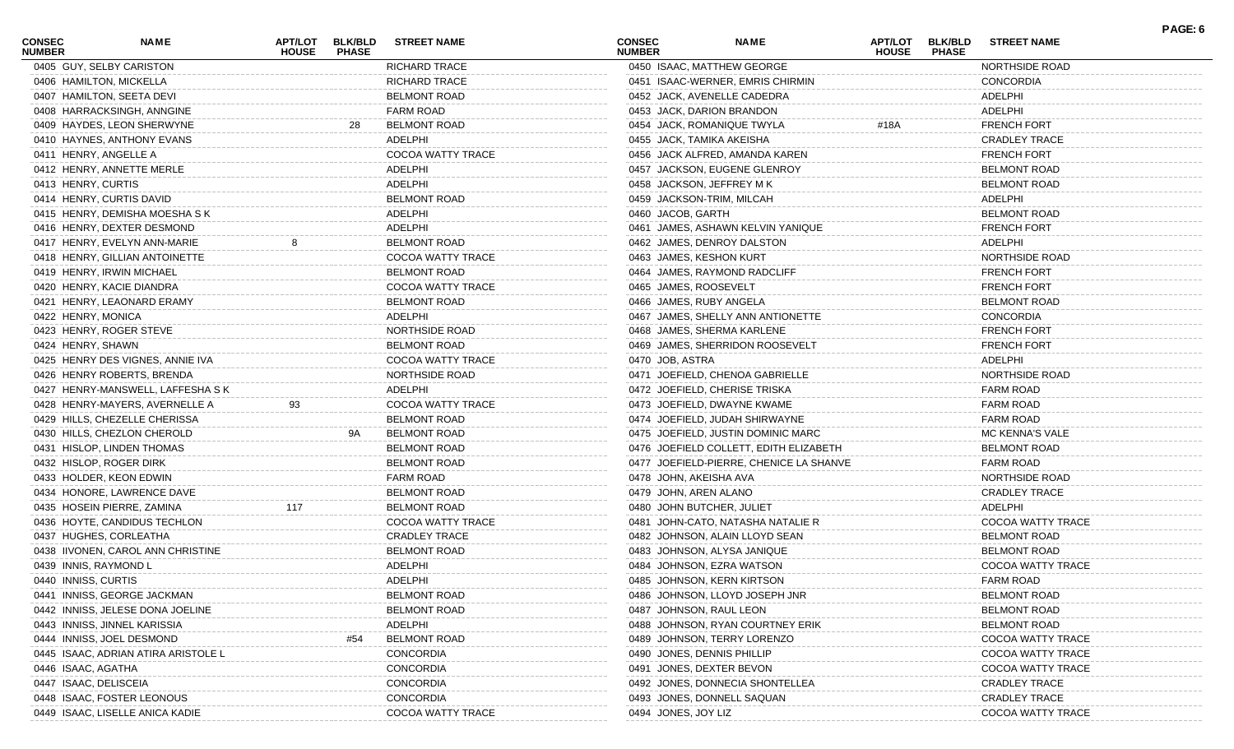| CONSEC<br><b>NUMBER</b> | <b>NAME</b>                       | <b>APT/LOT</b><br><b>HOUSE</b> | <b>BLK/BLD</b><br><b>PHASE</b> | <b>STREET NAME</b>   | <b>CONSEC</b><br><b>NUMBER</b> |                     | <b>NAME</b>                             | APT/LOT<br><b>HOUSE</b> | <b>BLK/BLD</b><br><b>PHASE</b> | <b>STREET NAME</b>       | PAGE: 6 |
|-------------------------|-----------------------------------|--------------------------------|--------------------------------|----------------------|--------------------------------|---------------------|-----------------------------------------|-------------------------|--------------------------------|--------------------------|---------|
|                         | 0405 GUY, SELBY CARISTON          |                                |                                | <b>RICHARD TRACE</b> |                                |                     | 0450 ISAAC, MATTHEW GEORGE              |                         |                                | NORTHSIDE ROAD           |         |
|                         | 0406 HAMILTON, MICKELLA           |                                |                                | <b>RICHARD TRACE</b> |                                |                     | 0451 ISAAC-WERNER, EMRIS CHIRMIN        |                         |                                | <b>CONCORDIA</b>         |         |
|                         | 0407 HAMILTON, SEETA DEVI         |                                |                                | <b>BELMONT ROAD</b>  |                                |                     | 0452 JACK, AVENELLE CADEDRA             |                         |                                | ADELPHI                  |         |
|                         | 0408 HARRACKSINGH, ANNGINE        |                                |                                | <b>FARM ROAD</b>     |                                |                     | 0453 JACK, DARION BRANDON               |                         |                                | ADELPHI                  |         |
|                         | 0409 HAYDES, LEON SHERWYNE        |                                | 28                             | <b>BELMONT ROAD</b>  |                                |                     | 0454 JACK, ROMANIQUE TWYLA              | #18A                    |                                | <b>FRENCH FORT</b>       |         |
|                         | 0410 HAYNES, ANTHONY EVANS        |                                |                                | ADELPHI              |                                |                     | 0455 JACK, TAMIKA AKEISHA               |                         |                                | <b>CRADLEY TRACE</b>     |         |
|                         | 0411 HENRY, ANGELLE A             |                                |                                | COCOA WATTY TRACE    |                                |                     | 0456 JACK ALFRED, AMANDA KAREN          |                         |                                | <b>FRENCH FORT</b>       |         |
|                         | 0412 HENRY, ANNETTE MERLE         |                                |                                | ADELPHI              |                                |                     | 0457 JACKSON, EUGENE GLENROY            |                         |                                | <b>BELMONT ROAD</b>      |         |
| 0413 HENRY, CURTIS      |                                   |                                |                                | ADELPHI              |                                |                     | 0458 JACKSON, JEFFREY M K               |                         |                                | <b>BELMONT ROAD</b>      |         |
|                         | 0414 HENRY, CURTIS DAVID          |                                |                                | <b>BELMONT ROAD</b>  |                                |                     | 0459 JACKSON-TRIM, MILCAH               |                         |                                | ADELPHI                  |         |
|                         | 0415 HENRY, DEMISHA MOESHA S K    |                                |                                | ADELPHI              |                                | 0460 JACOB, GARTH   |                                         |                         |                                | <b>BELMONT ROAD</b>      |         |
|                         | 0416 HENRY, DEXTER DESMOND        |                                |                                | ADELPHI              |                                |                     | 0461 JAMES, ASHAWN KELVIN YANIQUE       |                         |                                | <b>FRENCH FORT</b>       |         |
|                         | 0417 HENRY, EVELYN ANN-MARIE      |                                |                                | <b>BELMONT ROAD</b>  |                                |                     | 0462 JAMES, DENROY DALSTON              |                         |                                | ADELPHI                  |         |
|                         | 0418 HENRY, GILLIAN ANTOINETTE    |                                |                                | COCOA WATTY TRACE    |                                |                     | 0463 JAMES, KESHON KURT                 |                         |                                | NORTHSIDE ROAD           |         |
|                         | 0419 HENRY, IRWIN MICHAEL         |                                |                                | <b>BELMONT ROAD</b>  |                                |                     | 0464 JAMES, RAYMOND RADCLIFF            |                         |                                | <b>FRENCH FORT</b>       |         |
|                         | 0420 HENRY, KACIE DIANDRA         |                                |                                | COCOA WATTY TRACE    |                                |                     | 0465 JAMES, ROOSEVELT                   |                         |                                | <b>FRENCH FORT</b>       |         |
|                         | 0421 HENRY, LEAONARD ERAMY        |                                |                                | <b>BELMONT ROAD</b>  |                                |                     | 0466 JAMES, RUBY ANGELA                 |                         |                                | <b>BELMONT ROAD</b>      |         |
| 0422 HENRY, MONICA      |                                   |                                |                                | ADELPHI              |                                |                     | 0467 JAMES, SHELLY ANN ANTIONETTE       |                         |                                | <b>CONCORDIA</b>         |         |
|                         | 0423 HENRY, ROGER STEVE           |                                |                                | NORTHSIDE ROAD       |                                |                     | 0468 JAMES, SHERMA KARLENE              |                         |                                | <b>FRENCH FORT</b>       |         |
| 0424 HENRY, SHAWN       |                                   |                                |                                | <b>BELMONT ROAD</b>  |                                |                     | 0469 JAMES, SHERRIDON ROOSEVELT         |                         |                                | <b>FRENCH FORT</b>       |         |
|                         | 0425 HENRY DES VIGNES, ANNIE IVA  |                                |                                | COCOA WATTY TRACE    |                                | 0470 JOB, ASTRA     |                                         |                         |                                | ADELPHI                  |         |
|                         | 0426 HENRY ROBERTS, BRENDA        |                                |                                | NORTHSIDE ROAD       |                                |                     | 0471 JOEFIELD, CHENOA GABRIELLE         |                         |                                | NORTHSIDE ROAD           |         |
|                         | 0427 HENRY-MANSWELL, LAFFESHA S K |                                |                                | ADELPHI              |                                |                     | 0472 JOEFIELD, CHERISE TRISKA           |                         |                                | <b>FARM ROAD</b>         |         |
|                         | 0428 HENRY-MAYERS, AVERNELLE A    | 93                             |                                | COCOA WATTY TRACE    |                                |                     | 0473 JOEFIELD, DWAYNE KWAME             |                         |                                | FARM ROAD                |         |
|                         | 0429 HILLS, CHEZELLE CHERISSA     |                                |                                | <b>BELMONT ROAD</b>  |                                |                     | 0474 JOEFIELD, JUDAH SHIRWAYNE          |                         |                                | FARM ROAD                |         |
|                         | 0430 HILLS, CHEZLON CHEROLD       |                                | 9A                             | <b>BELMONT ROAD</b>  |                                |                     | 0475 JOEFIELD, JUSTIN DOMINIC MARC      |                         |                                | MC KENNA'S VALE          |         |
|                         | 0431 HISLOP, LINDEN THOMAS        |                                |                                | <b>BELMONT ROAD</b>  |                                |                     | 0476 JOEFIELD COLLETT, EDITH ELIZABETH  |                         |                                | <b>BELMONT ROAD</b>      |         |
|                         | 0432 HISLOP, ROGER DIRK           |                                |                                | <b>BELMONT ROAD</b>  |                                |                     | 0477 JOEFIELD-PIERRE, CHENICE LA SHANVE |                         |                                | FARM ROAD                |         |
|                         | 0433 HOLDER, KEON EDWIN           |                                |                                | <b>FARM ROAD</b>     |                                |                     | 0478 JOHN, AKEISHA AVA                  |                         |                                | NORTHSIDE ROAD           |         |
|                         | 0434 HONORE, LAWRENCE DAVE        |                                |                                | <b>BELMONT ROAD</b>  |                                |                     | 0479 JOHN, AREN ALANO                   |                         |                                | <b>CRADLEY TRACE</b>     |         |
|                         | 0435 HOSEIN PIERRE, ZAMINA        | 117                            |                                | <b>BELMONT ROAD</b>  |                                |                     | 0480 JOHN BUTCHER, JULIET               |                         |                                | ADELPHI                  |         |
|                         | 0436 HOYTE, CANDIDUS TECHLON      |                                |                                | COCOA WATTY TRACE    |                                |                     | 0481 JOHN-CATO, NATASHA NATALIE R       |                         |                                | COCOA WATTY TRACE        |         |
|                         | 0437 HUGHES, CORLEATHA            |                                |                                | <b>CRADLEY TRACE</b> |                                |                     | 0482 JOHNSON, ALAIN LLOYD SEAN          |                         |                                | <b>BELMONT ROAD</b>      |         |
|                         | 0438 IIVONEN, CAROL ANN CHRISTINE |                                |                                | <b>BELMONT ROAD</b>  |                                |                     | 0483 JOHNSON, ALYSA JANIQUE             |                         |                                | <b>BELMONT ROAD</b>      |         |
|                         | 0439 INNIS, RAYMOND L             |                                |                                | ADELPHI              |                                |                     | 0484 JOHNSON, EZRA WATSON               |                         |                                | COCOA WATTY TRACE        |         |
| 0440 INNISS, CURTIS     |                                   |                                |                                | ADELPHI              |                                |                     | 0485 JOHNSON, KERN KIRTSON              |                         |                                | FARM ROAD                |         |
|                         | 0441 INNISS, GEORGE JACKMAN       |                                |                                | <b>BELMONT ROAD</b>  |                                |                     | 0486 JOHNSON, LLOYD JOSEPH JNR          |                         |                                | <b>BELMONT ROAD</b>      |         |
|                         | 0442 INNISS, JELESE DONA JOELINE  |                                |                                | <b>BELMONT ROAD</b>  |                                |                     | 0487 JOHNSON, RAUL LEON                 |                         |                                | <b>BELMONT ROAD</b>      |         |
|                         | 0443 INNISS, JINNEL KARISSIA      |                                |                                | ADELPHI              |                                |                     | 0488 JOHNSON, RYAN COURTNEY ERIK        |                         |                                | <b>BELMONT ROAD</b>      |         |
|                         |                                   |                                |                                | <b>BELMONT ROAD</b>  |                                |                     |                                         |                         |                                |                          |         |
|                         | 0444 INNISS, JOEL DESMOND         |                                | #54                            | <b>CONCORDIA</b>     |                                |                     | 0489 JOHNSON, TERRY LORENZO             |                         |                                | COCOA WATTY TRACE        |         |
|                         | 0445 ISAAC, ADRIAN ATIRA ARISTOLE |                                |                                |                      |                                |                     | 0490 JONES, DENNIS PHILLIP              |                         |                                | COCOA WATTY TRACE        |         |
| 0446 ISAAC, AGATHA      |                                   |                                |                                | CONCORDIA            |                                |                     | 0491 JONES, DEXTER BEVON                |                         |                                | COCOA WATTY TRACE        |         |
| 0447 ISAAC, DELISCEIA   |                                   |                                |                                | <b>CONCORDIA</b>     |                                |                     | 0492 JONES, DONNECIA SHONTELLEA         |                         |                                | <b>CRADLEY TRACE</b>     |         |
|                         | 0448 ISAAC, FOSTER LEONOUS        |                                |                                | <b>CONCORDIA</b>     |                                |                     | 0493 JONES, DONNELL SAQUAN              |                         |                                | <b>CRADLEY TRACE</b>     |         |
|                         | 0449 ISAAC, LISELLE ANICA KADIE   |                                |                                | COCOA WATTY TRACE    |                                | 0494 JONES, JOY LIZ |                                         |                         |                                | <b>COCOA WATTY TRACE</b> |         |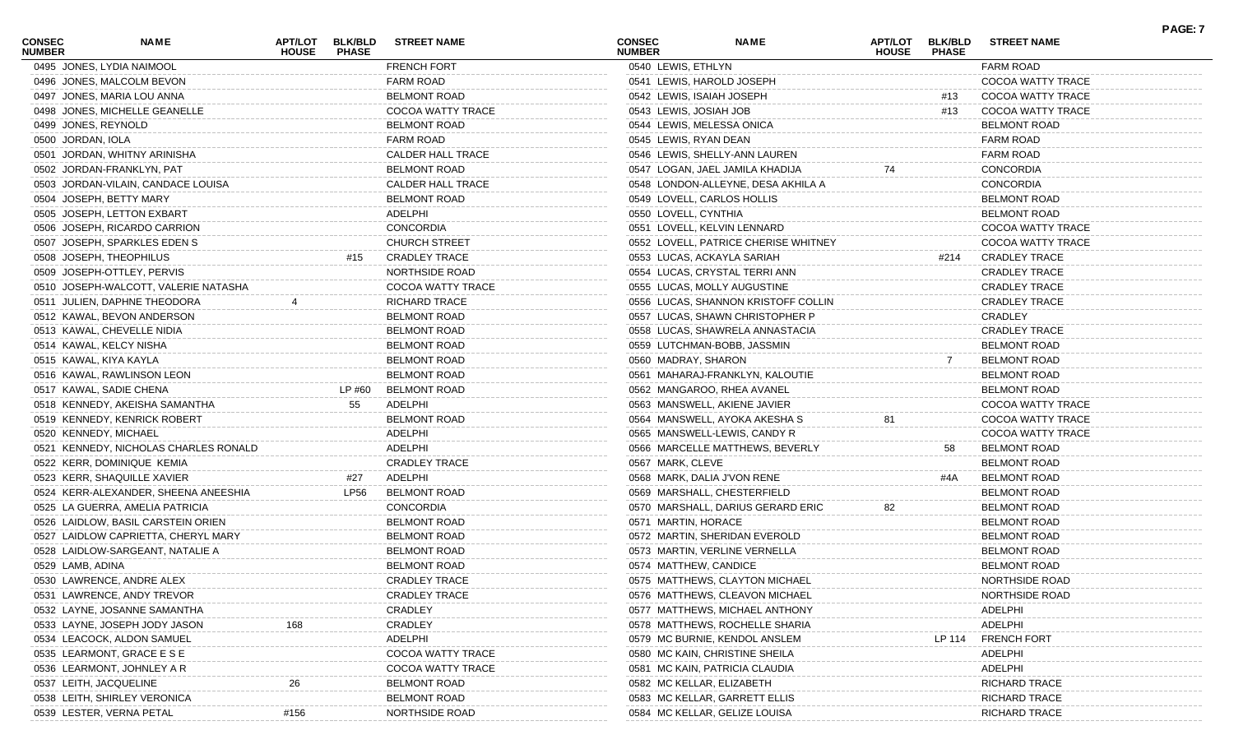| <b>CONSEC</b><br><b>NUMBER</b> | NAME                                  | APT/LOT<br><b>HOUSE</b> | <b>BLK/BLD</b><br><b>PHASE</b> | <b>STREET NAME</b>       | <b>CONSEC</b><br><b>NUMBER</b> |                              | <b>NAME</b>                          | APT/LOT<br><b>HOUSE</b> | <b>BLK/BLD</b><br><b>PHASE</b> | <b>STREET NAME</b>   | <b>PAGE: 7</b> |
|--------------------------------|---------------------------------------|-------------------------|--------------------------------|--------------------------|--------------------------------|------------------------------|--------------------------------------|-------------------------|--------------------------------|----------------------|----------------|
|                                | 0495 JONES, LYDIA NAIMOOL             |                         |                                | <b>FRENCH FORT</b>       |                                | 0540 LEWIS, ETHLYN           |                                      |                         |                                | <b>FARM ROAD</b>     |                |
|                                | 0496 JONES, MALCOLM BEVON             |                         |                                | <b>FARM ROAD</b>         |                                | 0541 LEWIS, HAROLD JOSEPH    |                                      |                         |                                | COCOA WATTY TRACE    |                |
|                                | 0497 JONES, MARIA LOU ANNA            |                         |                                | <b>BELMONT ROAD</b>      |                                | 0542 LEWIS, ISAIAH JOSEPH    |                                      |                         | #13                            | COCOA WATTY TRACE    |                |
|                                | 0498 JONES, MICHELLE GEANELLE         |                         |                                | COCOA WATTY TRACE        |                                | 0543 LEWIS, JOSIAH JOB       |                                      |                         | #13                            | COCOA WATTY TRACE    |                |
|                                | 0499 JONES, REYNOLD                   |                         |                                | <b>BELMONT ROAD</b>      |                                | 0544 LEWIS, MELESSA ONICA    |                                      |                         |                                | <b>BELMONT ROAD</b>  |                |
|                                | 0500 JORDAN, IOLA                     |                         |                                | <b>FARM ROAD</b>         |                                | 0545 LEWIS, RYAN DEAN        |                                      |                         |                                | <b>FARM ROAD</b>     |                |
|                                | 0501 JORDAN, WHITNY ARINISHA          |                         |                                | <b>CALDER HALL TRACE</b> |                                |                              | 0546 LEWIS, SHELLY-ANN LAUREN        |                         |                                | <b>FARM ROAD</b>     |                |
|                                | 0502 JORDAN-FRANKLYN, PAT             |                         |                                | <b>BELMONT ROAD</b>      |                                |                              | 0547 LOGAN, JAEL JAMILA KHADIJA      | 74                      |                                | <b>CONCORDIA</b>     |                |
|                                | 0503 JORDAN-VILAIN, CANDACE LOUISA    |                         |                                | <b>CALDER HALL TRACE</b> |                                |                              | 0548 LONDON-ALLEYNE, DESA AKHILA A   |                         |                                | <b>CONCORDIA</b>     |                |
|                                | 0504 JOSEPH, BETTY MARY               |                         |                                | <b>BELMONT ROAD</b>      |                                | 0549 LOVELL, CARLOS HOLLIS   |                                      |                         |                                | <b>BELMONT ROAD</b>  |                |
|                                | 0505 JOSEPH, LETTON EXBART            |                         |                                | ADELPHI                  |                                | 0550 LOVELL, CYNTHIA         |                                      |                         |                                | <b>BELMONT ROAD</b>  |                |
|                                | 0506 JOSEPH, RICARDO CARRION          |                         |                                | <b>CONCORDIA</b>         |                                | 0551 LOVELL, KELVIN LENNARD  |                                      |                         |                                | COCOA WATTY TRACE    |                |
|                                | 0507 JOSEPH, SPARKLES EDEN S          |                         |                                | <b>CHURCH STREET</b>     |                                |                              | 0552 LOVELL, PATRICE CHERISE WHITNEY |                         |                                | COCOA WATTY TRACE    |                |
|                                | 0508 JOSEPH, THEOPHILUS               |                         | #15                            | <b>CRADLEY TRACE</b>     |                                | 0553 LUCAS, ACKAYLA SARIAH   |                                      |                         | #214                           | <b>CRADLEY TRACE</b> |                |
|                                | 0509 JOSEPH-OTTLEY, PERVIS            |                         |                                | NORTHSIDE ROAD           |                                |                              | 0554 LUCAS, CRYSTAL TERRI ANN        |                         |                                | <b>CRADLEY TRACE</b> |                |
|                                | 0510 JOSEPH-WALCOTT, VALERIE NATASHA  |                         |                                | COCOA WATTY TRACE        |                                | 0555 LUCAS, MOLLY AUGUSTINE  |                                      |                         |                                | <b>CRADLEY TRACE</b> |                |
|                                | 0511 JULIEN, DAPHNE THEODORA          |                         |                                | <b>RICHARD TRACE</b>     |                                |                              | 0556 LUCAS, SHANNON KRISTOFF COLLIN  |                         |                                | <b>CRADLEY TRACE</b> |                |
|                                | 0512 KAWAL, BEVON ANDERSON            |                         |                                | <b>BELMONT ROAD</b>      |                                |                              | 0557 LUCAS, SHAWN CHRISTOPHER P      |                         |                                | CRADLEY              |                |
|                                | 0513 KAWAL, CHEVELLE NIDIA            |                         |                                | <b>BELMONT ROAD</b>      |                                |                              | 0558 LUCAS, SHAWRELA ANNASTACIA      |                         |                                | <b>CRADLEY TRACE</b> |                |
|                                | 0514 KAWAL, KELCY NISHA               |                         |                                | <b>BELMONT ROAD</b>      |                                | 0559 LUTCHMAN-BOBB, JASSMIN  |                                      |                         |                                | <b>BELMONT ROAD</b>  |                |
|                                | 0515 KAWAL, KIYA KAYLA                |                         |                                | <b>BELMONT ROAD</b>      |                                | 0560 MADRAY, SHARON          |                                      |                         |                                | <b>BELMONT ROAD</b>  |                |
|                                | 0516 KAWAL, RAWLINSON LEON            |                         |                                | <b>BELMONT ROAD</b>      |                                |                              | 0561 MAHARAJ-FRANKLYN, KALOUTIE      |                         |                                | <b>BELMONT ROAD</b>  |                |
|                                | 0517 KAWAL, SADIE CHENA               |                         | LP #60                         | <b>BELMONT ROAD</b>      |                                | 0562 MANGAROO, RHEA AVANEL   |                                      |                         |                                | <b>BELMONT ROAD</b>  |                |
|                                | 0518 KENNEDY, AKEISHA SAMANTHA        |                         | 55                             | ADELPHI                  |                                | 0563 MANSWELL, AKIENE JAVIER |                                      |                         |                                | COCOA WATTY TRACE    |                |
|                                | 0519 KENNEDY, KENRICK ROBERT          |                         |                                | <b>BELMONT ROAD</b>      |                                |                              | 0564 MANSWELL, AYOKA AKESHA S        | 81                      |                                | COCOA WATTY TRACE    |                |
|                                | 0520 KENNEDY, MICHAEL                 |                         |                                | ADELPHI                  |                                |                              | 0565 MANSWELL-LEWIS, CANDY R         |                         |                                | COCOA WATTY TRACE    |                |
|                                |                                       |                         |                                | ADELPHI                  |                                |                              |                                      |                         |                                |                      |                |
|                                | 0521 KENNEDY, NICHOLAS CHARLES RONALD |                         |                                |                          |                                |                              | 0566 MARCELLE MATTHEWS, BEVERLY      |                         | 58                             | <b>BELMONT ROAD</b>  |                |
|                                | 0522 KERR, DOMINIQUE KEMIA            |                         |                                | <b>CRADLEY TRACE</b>     |                                | 0567 MARK, CLEVE             |                                      |                         |                                | <b>BELMONT ROAD</b>  |                |
|                                | 0523 KERR, SHAQUILLE XAVIER           |                         | #27                            | ADELPHI                  |                                | 0568 MARK, DALIA J'VON RENE  |                                      |                         | #4A                            | <b>BELMONT ROAD</b>  |                |
|                                | 0524 KERR-ALEXANDER, SHEENA ANEESHIA  |                         | LP56                           | <b>BELMONT ROAD</b>      |                                | 0569 MARSHALL, CHESTERFIELD  |                                      |                         |                                | <b>BELMONT ROAD</b>  |                |
|                                | 0525 LA GUERRA, AMELIA PATRICIA       |                         |                                | <b>CONCORDIA</b>         |                                |                              | 0570 MARSHALL, DARIUS GERARD ERIC    | 82                      |                                | <b>BELMONT ROAD</b>  |                |
|                                | 0526 LAIDLOW, BASIL CARSTEIN ORIEN    |                         |                                | <b>BELMONT ROAD</b>      |                                | 0571 MARTIN, HORACE          |                                      |                         |                                | <b>BELMONT ROAD</b>  |                |
|                                | 0527 LAIDLOW CAPRIETTA, CHERYL MARY   |                         |                                | <b>BELMONT ROAD</b>      |                                |                              | 0572 MARTIN, SHERIDAN EVEROLD        |                         |                                | <b>BELMONT ROAD</b>  |                |
|                                | 0528 LAIDLOW-SARGEANT, NATALIE A      |                         |                                | <b>BELMONT ROAD</b>      |                                |                              | 0573 MARTIN, VERLINE VERNELLA        |                         |                                | <b>BELMONT ROAD</b>  |                |
|                                | 0529 LAMB, ADINA                      |                         |                                | <b>BELMONT ROAD</b>      |                                | 0574 MATTHEW, CANDICE        |                                      |                         |                                | <b>BELMONT ROAD</b>  |                |
|                                | 0530 LAWRENCE, ANDRE ALEX             |                         |                                | <b>CRADLEY TRACE</b>     |                                |                              | 0575 MATTHEWS, CLAYTON MICHAEL       |                         |                                | NORTHSIDE ROAD       |                |
|                                | 0531 LAWRENCE, ANDY TREVOR            |                         |                                | <b>CRADLEY TRACE</b>     |                                |                              | 0576 MATTHEWS, CLEAVON MICHAEL       |                         |                                | NORTHSIDE ROAD       |                |
|                                | 0532 LAYNE, JOSANNE SAMANTHA          |                         |                                | CRADLEY                  |                                |                              | 0577 MATTHEWS, MICHAEL ANTHONY       |                         |                                | ADELPHI              |                |
|                                | 0533 LAYNE, JOSEPH JODY JASON         |                         |                                | CRADLEY                  |                                |                              | 0578 MATTHEWS, ROCHELLE SHARIA       |                         |                                | ADELPHI              |                |
|                                | 0534 LEACOCK, ALDON SAMUEL            |                         |                                | ADELPHI                  |                                |                              | 0579 MC BURNIE, KENDOL ANSLEM        |                         | LP 114                         | <b>FRENCH FORT</b>   |                |
|                                | 0535 LEARMONT, GRACE E S E            |                         |                                | COCOA WATTY TRACE        |                                |                              | 0580 MC KAIN, CHRISTINE SHEILA       |                         |                                | ADELPHI              |                |
|                                | 0536 LEARMONT, JOHNLEY A R            |                         |                                | COCOA WATTY TRACE        |                                |                              | 0581 MC KAIN, PATRICIA CLAUDIA       |                         |                                | ADELPHI              |                |
|                                | 0537 LEITH, JACQUELINE                |                         |                                | <b>BELMONT ROAD</b>      |                                | 0582 MC KELLAR, ELIZABETH    |                                      |                         |                                | RICHARD TRACE        |                |
|                                | 0538 LEITH, SHIRLEY VERONICA          |                         |                                | BELMONT ROAD             |                                |                              | 0583 MC KELLAR, GARRETT ELLIS        |                         |                                | <b>RICHARD TRACE</b> |                |
|                                | 0539 LESTER, VERNA PETAL              | #156                    |                                | NORTHSIDE ROAD           |                                |                              | 0584 MC KELLAR, GELIZE LOUISA        |                         |                                | RICHARD TRACE        |                |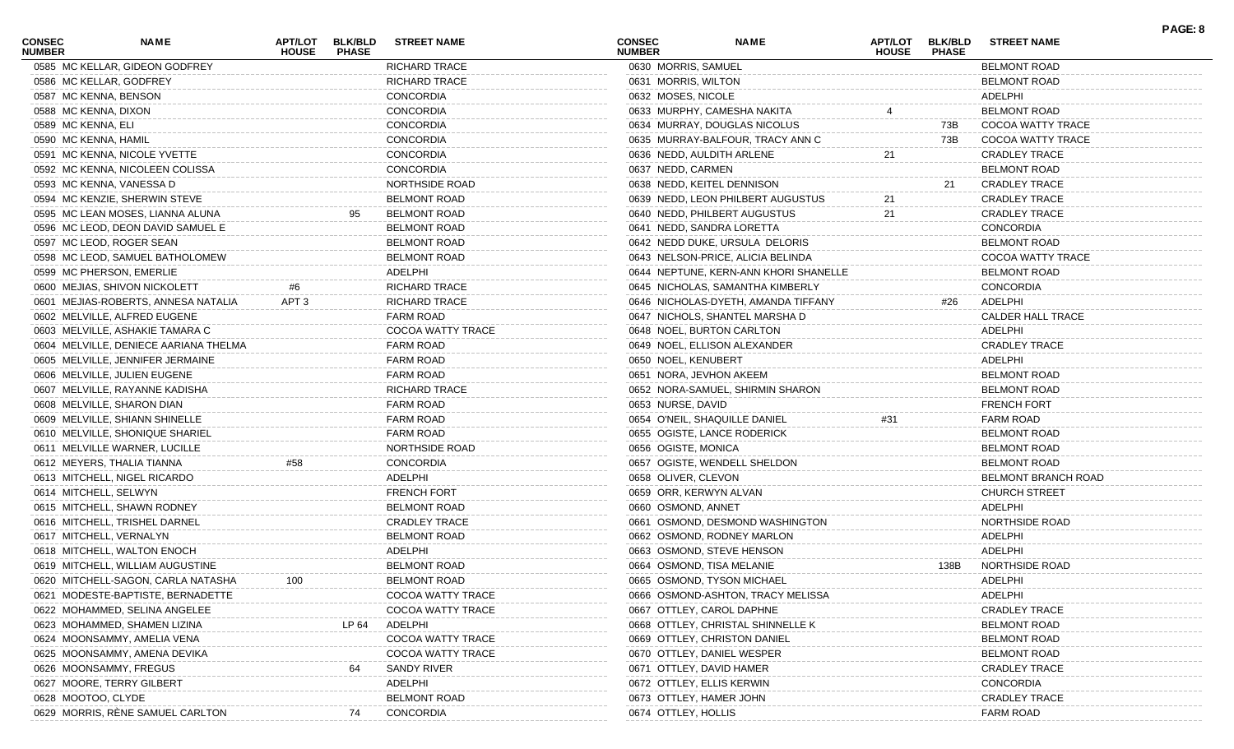| CONSEC<br><b>NUMBER</b> | <b>NAME</b>                           | APT/LOT<br><b>HOUSE</b> | <b>BLK/BLD</b><br><b>PHASE</b> | <b>STREET NAME</b>       | <b>CONSEC</b><br><b>NUMBER</b> |                               | <b>NAME</b>                           | <b>APT/LOT</b><br><b>HOUSE</b> | <b>BLK/BLD</b><br><b>PHASE</b> | <b>STREET NAME</b>       | PAGE: 8 |
|-------------------------|---------------------------------------|-------------------------|--------------------------------|--------------------------|--------------------------------|-------------------------------|---------------------------------------|--------------------------------|--------------------------------|--------------------------|---------|
|                         | 0585 MC KELLAR, GIDEON GODFREY        |                         |                                | RICHARD TRACE            |                                | 0630 MORRIS, SAMUEL           |                                       |                                |                                | <b>BELMONT ROAD</b>      |         |
|                         | 0586 MC KELLAR, GODFREY               |                         |                                | <b>RICHARD TRACE</b>     |                                | 0631 MORRIS, WILTON           |                                       |                                |                                | <b>BELMONT ROAD</b>      |         |
|                         | 0587 MC KENNA, BENSON                 |                         |                                | CONCORDIA                |                                | 0632 MOSES, NICOLE            |                                       |                                |                                | ADELPHI                  |         |
| 0588 MC KENNA, DIXON    |                                       |                         |                                | CONCORDIA                |                                | 0633 MURPHY, CAMESHA NAKITA   |                                       |                                |                                | <b>BELMONT ROAD</b>      |         |
| 0589 MC KENNA, ELI      |                                       |                         |                                | CONCORDIA                |                                |                               | 0634 MURRAY, DOUGLAS NICOLUS          |                                | 73B                            | COCOA WATTY TRACE        |         |
| 0590 MC KENNA, HAMIL    |                                       |                         |                                | <b>CONCORDIA</b>         |                                |                               | 0635 MURRAY-BALFOUR, TRACY ANN C      |                                | 73B                            | COCOA WATTY TRACE        |         |
|                         | 0591 MC KENNA, NICOLE YVETTE          |                         |                                | CONCORDIA                |                                | 0636 NEDD, AULDITH ARLENE     |                                       | 21                             |                                | <b>CRADLEY TRACE</b>     |         |
|                         | 0592 MC KENNA, NICOLEEN COLISSA       |                         |                                | CONCORDIA                |                                | 0637 NEDD, CARMEN             |                                       |                                |                                | <b>BELMONT ROAD</b>      |         |
|                         | 0593 MC KENNA, VANESSA D              |                         |                                | <b>NORTHSIDE ROAD</b>    |                                | 0638 NEDD, KEITEL DENNISON    |                                       |                                | 21                             | <b>CRADLEY TRACE</b>     |         |
|                         | 0594 MC KENZIE, SHERWIN STEVE         |                         |                                | <b>BELMONT ROAD</b>      |                                |                               | 0639 NEDD, LEON PHILBERT AUGUSTUS     | 21                             |                                | <b>CRADLEY TRACE</b>     |         |
|                         | 0595 MC LEAN MOSES, LIANNA ALUNA      |                         |                                | <b>BELMONT ROAD</b>      |                                |                               | 0640 NEDD, PHILBERT AUGUSTUS          | 21                             |                                | <b>CRADLEY TRACE</b>     |         |
|                         | 0596 MC LEOD, DEON DAVID SAMUEL E     |                         |                                | <b>BELMONT ROAD</b>      |                                | 0641 NEDD, SANDRA LORETTA     |                                       |                                |                                | <b>CONCORDIA</b>         |         |
|                         | 0597 MC LEOD, ROGER SEAN              |                         |                                | <b>BELMONT ROAD</b>      |                                |                               | 0642 NEDD DUKE, URSULA DELORIS        |                                |                                | <b>BELMONT ROAD</b>      |         |
|                         | 0598 MC LEOD, SAMUEL BATHOLOMEW       |                         |                                | <b>BELMONT ROAD</b>      |                                |                               | 0643 NELSON-PRICE, ALICIA BELINDA     |                                |                                | COCOA WATTY TRACE        |         |
|                         | 0599 MC PHERSON, EMERLIE              |                         |                                | ADELPHI                  |                                |                               | 0644 NEPTUNE, KERN-ANN KHORI SHANELLE |                                |                                | <b>BELMONT ROAD</b>      |         |
|                         | 0600 MEJIAS, SHIVON NICKOLETT         | #6                      |                                | <b>RICHARD TRACE</b>     |                                |                               | 0645 NICHOLAS, SAMANTHA KIMBERLY      |                                |                                | <b>CONCORDIA</b>         |         |
|                         | 0601 MEJIAS-ROBERTS, ANNESA NATALIA   | APT <sub>3</sub>        |                                | <b>RICHARD TRACE</b>     |                                |                               | 0646 NICHOLAS-DYETH, AMANDA TIFFANY   |                                | #26                            | ADELPHI                  |         |
|                         | 0602 MELVILLE, ALFRED EUGENE          |                         |                                | <b>FARM ROAD</b>         |                                |                               | 0647 NICHOLS, SHANTEL MARSHA D        |                                |                                | <b>CALDER HALL TRACE</b> |         |
|                         | 0603 MELVILLE, ASHAKIE TAMARA C       |                         |                                | COCOA WATTY TRACE        |                                | 0648 NOEL, BURTON CARLTON     |                                       |                                |                                | ADELPHI                  |         |
|                         | 0604 MELVILLE, DENIECE AARIANA THELMA |                         |                                | <b>FARM ROAD</b>         |                                | 0649 NOEL, ELLISON ALEXANDER  |                                       |                                |                                | <b>CRADLEY TRACE</b>     |         |
|                         | 0605 MELVILLE, JENNIFER JERMAINE      |                         |                                | <b>FARM ROAD</b>         |                                | 0650 NOEL, KENUBERT           |                                       |                                |                                | ADELPHI                  |         |
|                         | 0606 MELVILLE, JULIEN EUGENE          |                         |                                | <b>FARM ROAD</b>         |                                | 0651 NORA, JEVHON AKEEM       |                                       |                                |                                | <b>BELMONT ROAD</b>      |         |
|                         | 0607 MELVILLE, RAYANNE KADISHA        |                         |                                | <b>RICHARD TRACE</b>     |                                |                               | 0652 NORA-SAMUEL, SHIRMIN SHARON      |                                |                                | <b>BELMONT ROAD</b>      |         |
|                         | 0608 MELVILLE, SHARON DIAN            |                         |                                | <b>FARM ROAD</b>         |                                | 0653 NURSE, DAVID             |                                       |                                |                                | <b>FRENCH FORT</b>       |         |
|                         | 0609 MELVILLE, SHIANN SHINELLE        |                         |                                | <b>FARM ROAD</b>         |                                | 0654 O'NEIL, SHAQUILLE DANIEL |                                       | #31                            |                                | <b>FARM ROAD</b>         |         |
|                         | 0610 MELVILLE, SHONIQUE SHARIEL       |                         |                                | <b>FARM ROAD</b>         |                                | 0655 OGISTE, LANCE RODERICK   |                                       |                                |                                | <b>BELMONT ROAD</b>      |         |
|                         |                                       |                         |                                | NORTHSIDE ROAD           |                                |                               |                                       |                                |                                |                          |         |
|                         | 0611 MELVILLE WARNER, LUCILLE         |                         |                                |                          |                                | 0656 OGISTE, MONICA           |                                       |                                |                                | <b>BELMONT ROAD</b>      |         |
|                         | 0612 MEYERS, THALIA TIANNA            | #58                     |                                | <b>CONCORDIA</b>         |                                |                               | 0657 OGISTE, WENDELL SHELDON          |                                |                                | <b>BELMONT ROAD</b>      |         |
|                         | 0613 MITCHELL, NIGEL RICARDO          |                         |                                | ADELPHI                  |                                | 0658 OLIVER, CLEVON           |                                       |                                |                                | BELMONT BRANCH ROAD      |         |
|                         | 0614 MITCHELL, SELWYN                 |                         |                                | <b>FRENCH FORT</b>       |                                | 0659 ORR, KERWYN ALVAN        |                                       |                                |                                | <b>CHURCH STREET</b>     |         |
|                         | 0615 MITCHELL, SHAWN RODNEY           |                         |                                | <b>BELMONT ROAD</b>      |                                | 0660 OSMOND, ANNET            |                                       |                                |                                | ADELPHI                  |         |
|                         | 0616 MITCHELL, TRISHEL DARNEL         |                         |                                | <b>CRADLEY TRACE</b>     |                                |                               | 0661 OSMOND, DESMOND WASHINGTON       |                                |                                | NORTHSIDE ROAD           |         |
|                         | 0617 MITCHELL, VERNALYN               |                         |                                | <b>BELMONT ROAD</b>      |                                | 0662 OSMOND, RODNEY MARLON    |                                       |                                |                                | ADELPHI                  |         |
|                         | 0618 MITCHELL, WALTON ENOCH           |                         |                                | ADELPHI                  |                                | 0663 OSMOND, STEVE HENSON     |                                       |                                |                                | ADELPHI                  |         |
|                         | 0619 MITCHELL, WILLIAM AUGUSTINE      |                         |                                | <b>BELMONT ROAD</b>      |                                | 0664 OSMOND, TISA MELANIE     |                                       |                                | 138B                           | NORTHSIDE ROAD           |         |
|                         | 0620 MITCHELL-SAGON, CARLA NATASHA    | 100                     |                                | <b>BELMONT ROAD</b>      |                                | 0665 OSMOND, TYSON MICHAEL    |                                       |                                |                                | ADELPHI                  |         |
|                         | 0621 MODESTE-BAPTISTE, BERNADETTE     |                         |                                | <b>COCOA WATTY TRACE</b> |                                |                               | 0666 OSMOND-ASHTON, TRACY MELISS/     |                                |                                | ADELPHI                  |         |
|                         | 0622 MOHAMMED, SELINA ANGELEE         |                         |                                | COCOA WATTY TRACE        |                                | 0667 OTTLEY, CAROL DAPHNE     |                                       |                                |                                | <b>CRADLEY TRACE</b>     |         |
|                         | 0623 MOHAMMED, SHAMEN LIZINA          |                         | LP 64                          | ADELPHI                  |                                |                               | 0668 OTTLEY, CHRISTAL SHINNELLE K     |                                |                                | <b>BELMONT ROAD</b>      |         |
|                         | 0624 MOONSAMMY, AMELIA VENA           |                         |                                | COCOA WATTY TRACE        |                                | 0669 OTTLEY, CHRISTON DANIEL  |                                       |                                |                                | <b>BELMONT ROAD</b>      |         |
|                         | 0625 MOONSAMMY, AMENA DEVIKA          |                         |                                | COCOA WATTY TRACE        |                                | 0670 OTTLEY, DANIEL WESPER    |                                       |                                |                                | <b>BELMONT ROAD</b>      |         |
|                         | 0626 MOONSAMMY, FREGUS                |                         | 64                             | SANDY RIVER              |                                | 0671 OTTLEY, DAVID HAMER      |                                       |                                |                                | <b>CRADLEY TRACE</b>     |         |
|                         | 0627 MOORE, TERRY GILBERT             |                         |                                | ADELPHI                  |                                | 0672 OTTLEY, ELLIS KERWIN     |                                       |                                |                                | <b>CONCORDIA</b>         |         |
| 0628 MOOTOO, CLYDE      |                                       |                         |                                | <b>BELMONT ROAD</b>      |                                | 0673 OTTLEY, HAMER JOHN       |                                       |                                |                                | <b>CRADLEY TRACE</b>     |         |
|                         | 0629 MORRIS, RÈNE SAMUEL CARLTON      |                         | 74                             | CONCORDIA                |                                | 0674 OTTLEY, HOLLIS           |                                       |                                |                                | <b>FARM ROAD</b>         |         |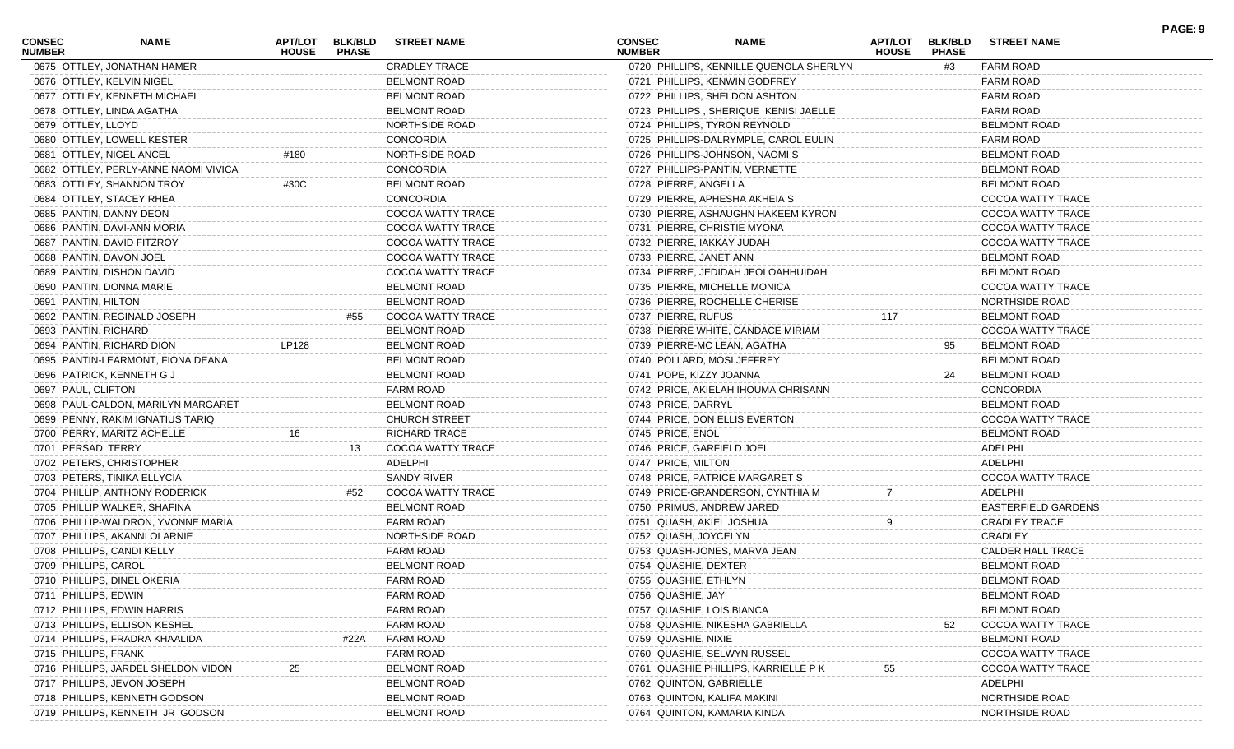| <b>CONSEC</b><br><b>NUMBER</b> | <b>NAME</b>                          | APT/LOT<br><b>HOUSE</b> | <b>BLK/BLD</b><br><b>PHASE</b> | <b>STREET NAME</b>    | <b>CONSEC</b><br><b>NUMBER</b> | <b>NAME</b>                                           | <b>APT/LOT</b><br><b>HOUSE</b> | <b>BLK/BLD</b><br><b>PHASE</b> | <b>STREET NAME</b>       | PAGE: 9 |
|--------------------------------|--------------------------------------|-------------------------|--------------------------------|-----------------------|--------------------------------|-------------------------------------------------------|--------------------------------|--------------------------------|--------------------------|---------|
|                                | 0675 OTTLEY, JONATHAN HAMER          |                         |                                | <b>CRADLEY TRACE</b>  |                                | 0720 PHILLIPS, KENNILLE QUENOLA SHERLYN               |                                | #3                             | <b>FARM ROAD</b>         |         |
|                                | 0676 OTTLEY, KELVIN NIGEL            |                         |                                | <b>BELMONT ROAD</b>   |                                | 0721 PHILLIPS, KENWIN GODFREY                         |                                |                                | <b>FARM ROAD</b>         |         |
|                                | 0677 OTTLEY, KENNETH MICHAEL         |                         |                                | <b>BELMONT ROAD</b>   |                                | 0722 PHILLIPS, SHELDON ASHTON                         |                                |                                | <b>FARM ROAD</b>         |         |
|                                | 0678 OTTLEY, LINDA AGATHA            |                         |                                | <b>BELMONT ROAD</b>   |                                | 0723 PHILLIPS, SHERIQUE KENISI JAELLE                 |                                |                                | <b>FARM ROAD</b>         |         |
| 0679 OTTLEY, LLOYD             |                                      |                         |                                | <b>NORTHSIDE ROAD</b> |                                | 0724 PHILLIPS, TYRON REYNOLD                          |                                |                                | <b>BELMONT ROAD</b>      |         |
|                                | 0680 OTTLEY, LOWELL KESTER           |                         |                                | <b>CONCORDIA</b>      |                                | 0725 PHILLIPS-DALRYMPLE, CAROL EULIN                  |                                |                                | <b>FARM ROAD</b>         |         |
|                                | 0681 OTTLEY, NIGEL ANCEL             | #180                    |                                | <b>NORTHSIDE ROAD</b> |                                | 0726 PHILLIPS-JOHNSON, NAOMI S                        |                                |                                | <b>BELMONT ROAD</b>      |         |
|                                | 0682 OTTLEY, PERLY-ANNE NAOMI VIVICA |                         |                                | <b>CONCORDIA</b>      |                                | 0727 PHILLIPS-PANTIN, VERNETTE                        |                                |                                | <b>BELMONT ROAD</b>      |         |
|                                | 0683 OTTLEY, SHANNON TROY            | #30C                    |                                | <b>BELMONT ROAD</b>   | 0728 PIERRE, ANGELLA           |                                                       |                                |                                | <b>BELMONT ROAD</b>      |         |
|                                | 0684 OTTLEY, STACEY RHEA             |                         |                                | <b>CONCORDIA</b>      |                                | 0729 PIERRE, APHESHA AKHEIA S                         |                                |                                | COCOA WATTY TRACE        |         |
|                                | 0685 PANTIN, DANNY DEON              |                         |                                | COCOA WATTY TRACE     |                                | 0730 PIERRE, ASHAUGHN HAKEEM KYRON                    |                                |                                | COCOA WATTY TRACE        |         |
|                                | 0686 PANTIN, DAVI-ANN MORIA          |                         |                                | COCOA WATTY TRACE     |                                | 0731 PIERRE, CHRISTIE MYONA                           |                                |                                | COCOA WATTY TRACE        |         |
|                                | 0687 PANTIN, DAVID FITZROY           |                         |                                | COCOA WATTY TRACE     |                                | 0732 PIERRE, IAKKAY JUDAH                             |                                |                                | COCOA WATTY TRACE        |         |
|                                | 0688 PANTIN, DAVON JOEL              |                         |                                | COCOA WATTY TRACE     |                                | 0733 PIERRE, JANET ANN                                |                                |                                | <b>BELMONT ROAD</b>      |         |
|                                | 0689 PANTIN, DISHON DAVID            |                         |                                | COCOA WATTY TRACE     |                                | 0734 PIERRE, JEDIDAH JEOI OAHHUIDAH                   |                                |                                | <b>BELMONT ROAD</b>      |         |
|                                | 0690 PANTIN, DONNA MARIE             |                         |                                | <b>BELMONT ROAD</b>   |                                | 0735 PIERRE, MICHELLE MONICA                          |                                |                                | COCOA WATTY TRACE        |         |
| 0691 PANTIN, HILTON            |                                      |                         |                                | <b>BELMONT ROAD</b>   |                                | 0736 PIERRE, ROCHELLE CHERISE                         |                                |                                | <b>NORTHSIDE ROAD</b>    |         |
|                                | 0692 PANTIN, REGINALD JOSEPH         |                         | #55                            | COCOA WATTY TRACE     | 0737 PIERRE, RUFUS             |                                                       | 117                            |                                | <b>BELMONT ROAD</b>      |         |
|                                | 0693 PANTIN, RICHARD                 |                         |                                | <b>BELMONT ROAD</b>   |                                | 0738 PIERRE WHITE, CANDACE MIRIAM                     |                                |                                | COCOA WATTY TRACE        |         |
|                                | 0694 PANTIN, RICHARD DION            | LP128                   |                                | <b>BELMONT ROAD</b>   |                                | 0739 PIERRE-MC LEAN, AGATHA                           |                                | 95                             | <b>BELMONT ROAD</b>      |         |
|                                |                                      |                         |                                | <b>BELMONT ROAD</b>   |                                |                                                       |                                |                                |                          |         |
|                                | 0695 PANTIN-LEARMONT, FIONA DEANA    |                         |                                |                       |                                | 0740 POLLARD, MOSI JEFFREY<br>0741 POPE, KIZZY JOANNA |                                |                                | <b>BELMONT ROAD</b>      |         |
|                                | 0696 PATRICK, KENNETH G J            |                         |                                | <b>BELMONT ROAD</b>   |                                |                                                       |                                | 24                             | <b>BELMONT ROAD</b>      |         |
| 0697 PAUL, CLIFTON             |                                      |                         |                                | <b>FARM ROAD</b>      |                                | 0742 PRICE, AKIELAH IHOUMA CHRISANN                   |                                |                                | <b>CONCORDIA</b>         |         |
|                                | 0698 PAUL-CALDON, MARILYN MARGARET   |                         |                                | <b>BELMONT ROAD</b>   | 0743 PRICE, DARRYL             |                                                       |                                |                                | <b>BELMONT ROAD</b>      |         |
|                                | 0699 PENNY, RAKIM IGNATIUS TARIQ     |                         |                                | <b>CHURCH STREET</b>  |                                | 0744 PRICE, DON ELLIS EVERTON                         |                                |                                | COCOA WATTY TRACE        |         |
|                                | 0700 PERRY, MARITZ ACHELLE           | 16                      |                                | <b>RICHARD TRACE</b>  | 0745 PRICE, ENOL               |                                                       |                                |                                | <b>BELMONT ROAD</b>      |         |
| 0701 PERSAD, TERRY             |                                      |                         | 13                             | COCOA WATTY TRACE     |                                | 0746 PRICE, GARFIELD JOEL                             |                                |                                | ADELPHI                  |         |
|                                | 0702 PETERS, CHRISTOPHER             |                         |                                | ADELPHI               | 0747 PRICE, MILTON             |                                                       |                                |                                | ADELPHI                  |         |
|                                | 0703 PETERS, TINIKA ELLYCIA          |                         |                                | SANDY RIVER           |                                | 0748 PRICE, PATRICE MARGARET S                        |                                |                                | COCOA WATTY TRACE        |         |
|                                | 0704 PHILLIP, ANTHONY RODERICK       |                         | #52                            | COCOA WATTY TRACE     |                                | 0749 PRICE-GRANDERSON, CYNTHIA M                      |                                |                                | ADELPHI                  |         |
|                                | 0705 PHILLIP WALKER, SHAFINA         |                         |                                | <b>BELMONT ROAD</b>   |                                | 0750 PRIMUS, ANDREW JARED                             |                                |                                | EASTERFIELD GARDENS      |         |
|                                | 0706 PHILLIP-WALDRON, YVONNE MARIA   |                         |                                | <b>FARM ROAD</b>      |                                | 0751 QUASH, AKIEL JOSHUA                              |                                |                                | <b>CRADLEY TRACE</b>     |         |
|                                | 0707 PHILLIPS, AKANNI OLARNIE        |                         |                                | NORTHSIDE ROAD        | 0752 QUASH, JOYCELYN           |                                                       |                                |                                | CRADLEY                  |         |
|                                | 0708 PHILLIPS, CANDI KELLY           |                         |                                | <b>FARM ROAD</b>      |                                | 0753 QUASH-JONES, MARVA JEAN                          |                                |                                | <b>CALDER HALL TRACE</b> |         |
| 0709 PHILLIPS, CAROL           |                                      |                         |                                | <b>BELMONT ROAD</b>   | 0754 QUASHIE, DEXTER           |                                                       |                                |                                | <b>BELMONT ROAD</b>      |         |
|                                | 0710 PHILLIPS, DINEL OKERIA          |                         |                                | <b>FARM ROAD</b>      | 0755 QUASHIE, ETHLYN           |                                                       |                                |                                | <b>BELMONT ROAD</b>      |         |
| 0711 PHILLIPS, EDWIN           |                                      |                         |                                | <b>FARM ROAD</b>      | 0756 QUASHIE, JAY              |                                                       |                                |                                | <b>BELMONT ROAD</b>      |         |
|                                | 0712 PHILLIPS, EDWIN HARRIS          |                         |                                | <b>FARM ROAD</b>      |                                | 0757 QUASHIE, LOIS BIANCA                             |                                |                                | <b>BELMONT ROAD</b>      |         |
|                                | 0713 PHILLIPS, ELLISON KESHEL        |                         |                                | <b>FARM ROAD</b>      |                                | 0758 QUASHIE, NIKESHA GABRIELLA                       |                                | 52                             | COCOA WATTY TRACE        |         |
|                                | 0714 PHILLIPS, FRADRA KHAALIDA       |                         | #22A                           | <b>FARM ROAD</b>      | 0759 QUASHIE, NIXIE            |                                                       |                                |                                | <b>BELMONT ROAD</b>      |         |
| 0715 PHILLIPS, FRANK           |                                      |                         |                                | <b>FARM ROAD</b>      |                                | 0760 QUASHIE, SELWYN RUSSEL                           |                                |                                | COCOA WATTY TRACE        |         |
|                                | 0716 PHILLIPS, JARDEL SHELDON VIDON  |                         |                                | <b>BELMONT ROAD</b>   |                                | 0761 QUASHIE PHILLIPS, KARRIELLE PK                   | 55                             |                                | COCOA WATTY TRACE        |         |
|                                | 0717 PHILLIPS, JEVON JOSEPH          |                         |                                | <b>BELMONT ROAD</b>   |                                | 0762 QUINTON, GABRIELLE                               |                                |                                | ADELPHI                  |         |
|                                | 0718 PHILLIPS, KENNETH GODSON        |                         |                                | <b>BELMONT ROAD</b>   |                                | 0763 QUINTON, KALIFA MAKINI                           |                                |                                | NORTHSIDE ROAD           |         |
|                                | 0719 PHILLIPS, KENNETH JR GODSON     |                         |                                | <b>BELMONT ROAD</b>   |                                | 0764 QUINTON, KAMARIA KINDA                           |                                |                                | NORTHSIDE ROAD           |         |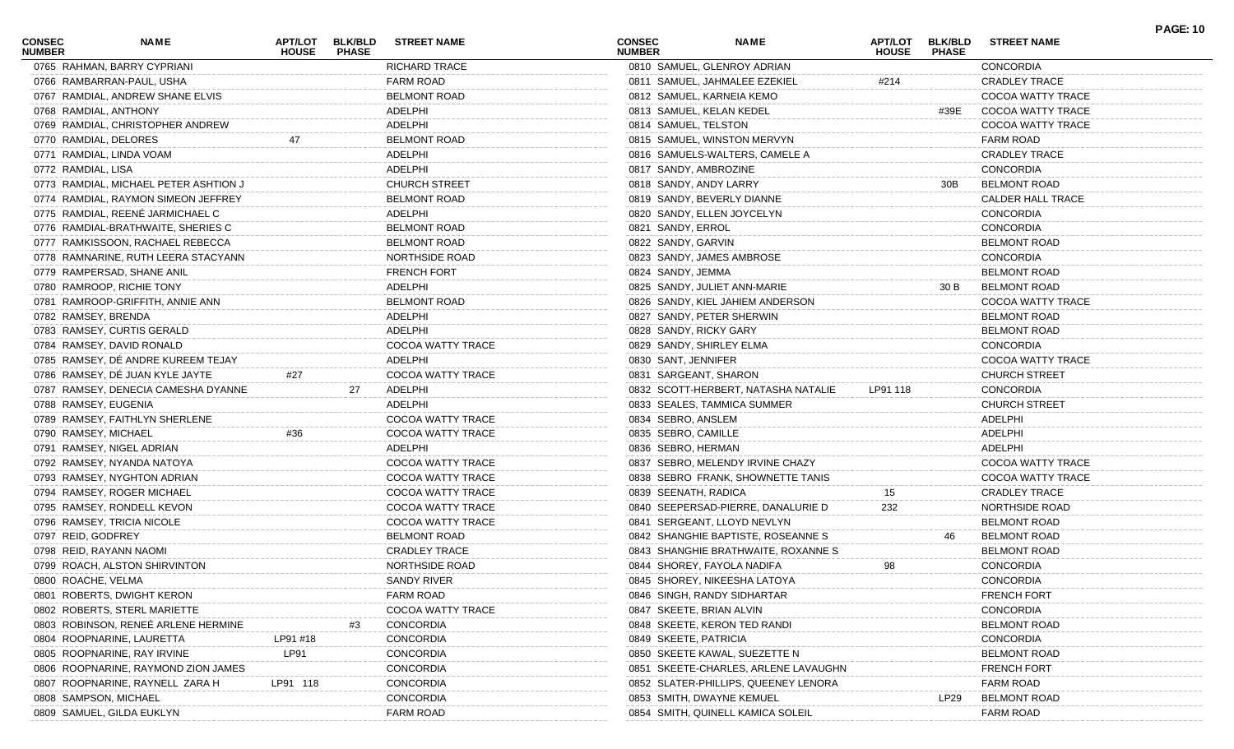| <b>CONSEC</b><br><b>NUMBER</b> | NAME                                  | APT/LOT<br><b>HOUSE</b> | <b>BLK/BLD</b><br><b>PHASE</b> | <b>STREET NAME</b>   | <b>CONSEC</b><br><b>NUMBER</b> |                       | <b>NAME</b>                          | <b>APT/LOT</b><br><b>HOUSE</b> | <b>BLK/BLD</b><br><b>PHASE</b> | <b>STREET NAME</b>       | <b>PAGE: 10</b> |
|--------------------------------|---------------------------------------|-------------------------|--------------------------------|----------------------|--------------------------------|-----------------------|--------------------------------------|--------------------------------|--------------------------------|--------------------------|-----------------|
|                                | 0765 RAHMAN, BARRY CYPRIANI           |                         |                                | <b>RICHARD TRACE</b> |                                |                       | 0810 SAMUEL, GLENROY ADRIAN          |                                |                                | CONCORDIA                |                 |
|                                | 0766 RAMBARRAN-PAUL, USHA             |                         |                                | <b>FARM ROAD</b>     |                                |                       | 0811 SAMUEL, JAHMALEE EZEKIEL        | #214                           |                                | <b>CRADLEY TRACE</b>     |                 |
|                                | 0767 RAMDIAL, ANDREW SHANE ELVIS      |                         |                                | <b>BELMONT ROAD</b>  |                                |                       | 0812 SAMUEL, KARNEIA KEMO            |                                |                                | COCOA WATTY TRACE        |                 |
|                                | 0768 RAMDIAL, ANTHONY                 |                         |                                | ADELPHI              |                                |                       | 0813 SAMUEL, KELAN KEDEL             |                                | #39E                           | <b>COCOA WATTY TRACE</b> |                 |
|                                | 0769 RAMDIAL, CHRISTOPHER ANDREW      |                         |                                | ADELPHI              |                                | 0814 SAMUEL, TELSTON  |                                      |                                |                                | COCOA WATTY TRACE        |                 |
|                                | 0770 RAMDIAL, DELORES                 | 47                      |                                | <b>BELMONT ROAD</b>  |                                |                       | 0815 SAMUEL, WINSTON MERVYN          |                                |                                | <b>FARM ROAD</b>         |                 |
|                                | 0771 RAMDIAL, LINDA VOAM              |                         |                                | ADELPHI              |                                |                       | 0816 SAMUELS-WALTERS, CAMELE A       |                                |                                | <b>CRADLEY TRACE</b>     |                 |
| 0772 RAMDIAL, LISA             |                                       |                         |                                | ADELPHI              |                                | 0817 SANDY, AMBROZINE |                                      |                                |                                | <b>CONCORDIA</b>         |                 |
|                                | 0773 RAMDIAL, MICHAEL PETER ASHTION J |                         |                                | <b>CHURCH STREET</b> |                                |                       | 0818 SANDY, ANDY LARRY               |                                | 30B                            | <b>BELMONT ROAD</b>      |                 |
|                                | 0774 RAMDIAL, RAYMON SIMEON JEFFREY   |                         |                                | <b>BELMONT ROAD</b>  |                                |                       | 0819 SANDY, BEVERLY DIANNE           |                                |                                | <b>CALDER HALL TRACE</b> |                 |
|                                | 0775 RAMDIAL, REENÉ JARMICHAEL C      |                         |                                | ADELPHI              |                                |                       | 0820 SANDY, ELLEN JOYCELYN           |                                |                                | <b>CONCORDIA</b>         |                 |
|                                | 0776 RAMDIAL-BRATHWAITE, SHERIES C    |                         |                                | <b>BELMONT ROAD</b>  |                                | 0821 SANDY, ERROL     |                                      |                                |                                | <b>CONCORDIA</b>         |                 |
|                                | 0777 RAMKISSOON, RACHAEL REBECCA      |                         |                                | <b>BELMONT ROAD</b>  |                                | 0822 SANDY, GARVIN    |                                      |                                |                                | <b>BELMONT ROAD</b>      |                 |
|                                | 0778 RAMNARINE, RUTH LEERA STACYANN   |                         |                                | NORTHSIDE ROAD       |                                |                       | 0823 SANDY, JAMES AMBROSE            |                                |                                | <b>CONCORDIA</b>         |                 |
|                                | 0779 RAMPERSAD, SHANE ANIL            |                         |                                | <b>FRENCH FORT</b>   |                                | 0824 SANDY, JEMMA     |                                      |                                |                                | <b>BELMONT ROAD</b>      |                 |
|                                | 0780 RAMROOP, RICHIE TONY             |                         |                                | ADELPHI              |                                |                       | 0825 SANDY, JULIET ANN-MARIE         |                                | 30 B                           | <b>BELMONT ROAD</b>      |                 |
|                                | 0781 RAMROOP-GRIFFITH, ANNIE ANN      |                         |                                | <b>BELMONT ROAD</b>  |                                |                       | 0826 SANDY, KIEL JAHIEM ANDERSON     |                                |                                | COCOA WATTY TRACE        |                 |
|                                | 0782 RAMSEY, BRENDA                   |                         |                                | ADELPHI              |                                |                       | 0827 SANDY, PETER SHERWIN            |                                |                                | <b>BELMONT ROAD</b>      |                 |
|                                | 0783 RAMSEY, CURTIS GERALD            |                         |                                | ADELPHI              |                                |                       | 0828 SANDY, RICKY GARY               |                                |                                | <b>BELMONT ROAD</b>      |                 |
|                                | 0784 RAMSEY, DAVID RONALD             |                         |                                | COCOA WATTY TRACE    |                                |                       | 0829 SANDY, SHIRLEY ELMA             |                                |                                | <b>CONCORDIA</b>         |                 |
|                                | 0785 RAMSEY, DÉ ANDRE KUREEM TEJAY    |                         |                                | ADELPHI              |                                | 0830 SANT, JENNIFER   |                                      |                                |                                | COCOA WATTY TRACE        |                 |
|                                | 0786 RAMSEY, DÉ JUAN KYLE JAYTE       | #27                     |                                | COCOA WATTY TRACE    |                                |                       | 0831 SARGEANT, SHARON                |                                |                                | <b>CHURCH STREET</b>     |                 |
|                                | 0787 RAMSEY, DENECIA CAMESHA DYANNE   |                         | 27                             | ADELPHI              |                                |                       | 0832 SCOTT-HERBERT, NATASHA NATALIE  | LP91 118                       |                                | <b>CONCORDIA</b>         |                 |
|                                | 0788 RAMSEY, EUGENIA                  |                         |                                | ADELPHI              |                                |                       | 0833 SEALES, TAMMICA SUMMER          |                                |                                | <b>CHURCH STREET</b>     |                 |
|                                | 0789 RAMSEY, FAITHLYN SHERLENE        |                         |                                | COCOA WATTY TRACE    |                                |                       |                                      |                                |                                | ADELPHI                  |                 |
|                                |                                       |                         |                                |                      |                                | 0834 SEBRO, ANSLEM    |                                      |                                |                                |                          |                 |
|                                | 0790 RAMSEY, MICHAEL                  | #36                     |                                | COCOA WATTY TRACE    |                                | 0835 SEBRO, CAMILLE   |                                      |                                |                                | ADELPHI                  |                 |
|                                | 0791 RAMSEY, NIGEL ADRIAN             |                         |                                | ADELPHI              |                                | 0836 SEBRO, HERMAN    |                                      |                                |                                | ADELPHI                  |                 |
|                                | 0792 RAMSEY, NYANDA NATOYA            |                         |                                | COCOA WATTY TRACE    |                                |                       | 0837 SEBRO, MELENDY IRVINE CHAZY     |                                |                                | COCOA WATTY TRACE        |                 |
|                                | 0793 RAMSEY, NYGHTON ADRIAN           |                         |                                | COCOA WATTY TRACE    |                                |                       | 0838 SEBRO FRANK, SHOWNETTE TANIS    |                                |                                | COCOA WATTY TRACE        |                 |
|                                | 0794 RAMSEY, ROGER MICHAEL            |                         |                                | COCOA WATTY TRACE    |                                | 0839 SEENATH, RADICA  |                                      | 15                             |                                | <b>CRADLEY TRACE</b>     |                 |
|                                | 0795 RAMSEY, RONDELL KEVON            |                         |                                | COCOA WATTY TRACE    |                                |                       | 0840 SEEPERSAD-PIERRE, DANALURIE D   | 232                            |                                | NORTHSIDE ROAD           |                 |
|                                | 0796 RAMSEY, TRICIA NICOLE            |                         |                                | COCOA WATTY TRACE    |                                |                       | 0841 SERGEANT, LLOYD NEVLYN          |                                |                                | <b>BELMONT ROAD</b>      |                 |
|                                | 0797 REID, GODFREY                    |                         |                                | <b>BELMONT ROAD</b>  |                                |                       | 0842 SHANGHIE BAPTISTE, ROSEANNE S   |                                | 46                             | <b>BELMONT ROAD</b>      |                 |
|                                | 0798 REID, RAYANN NAOMI               |                         |                                | <b>CRADLEY TRACE</b> |                                |                       | 0843 SHANGHIE BRATHWAITE, ROXANNE S  |                                |                                | <b>BELMONT ROAD</b>      |                 |
|                                | 0799 ROACH, ALSTON SHIRVINTON         |                         |                                | NORTHSIDE ROAD       |                                |                       | 0844 SHOREY, FAYOLA NADIFA           | 98                             |                                | <b>CONCORDIA</b>         |                 |
|                                | 0800 ROACHE, VELMA                    |                         |                                | SANDY RIVER          |                                |                       | 0845 SHOREY, NIKEESHA LATOYA         |                                |                                | CONCORDIA                |                 |
|                                | 0801 ROBERTS, DWIGHT KERON            |                         |                                | <b>FARM ROAD</b>     |                                |                       | 0846 SINGH, RANDY SIDHARTAR          |                                |                                | <b>FRENCH FORT</b>       |                 |
|                                | 0802 ROBERTS, STERL MARIETTE          |                         |                                | COCOA WATTY TRACE    |                                |                       | 0847 SKEETE, BRIAN ALVIN             |                                |                                | CONCORDIA                |                 |
|                                | 0803 ROBINSON, RENEÉ ARLENE HERMINE   |                         |                                | <b>CONCORDIA</b>     |                                |                       | 0848 SKEETE, KERON TED RAND          |                                |                                | <b>BELMONT ROAD</b>      |                 |
|                                | 0804 ROOPNARINE, LAURETTA             | LP91 #18                |                                | <b>CONCORDIA</b>     |                                | 0849 SKEETE, PATRICIA |                                      |                                |                                | CONCORDIA                |                 |
|                                | 0805 ROOPNARINE, RAY IRVINE           | LP91                    |                                | CONCORDIA            |                                |                       | 0850 SKEETE KAWAL, SUEZETTE N        |                                |                                | <b>BELMONT ROAD</b>      |                 |
|                                | 0806 ROOPNARINE, RAYMOND ZION JAMES   |                         |                                | CONCORDIA            |                                |                       | 0851 SKEETE-CHARLES, ARLENE LAVAUGHI |                                |                                | <b>FRENCH FORT</b>       |                 |
|                                | 0807 ROOPNARINE, RAYNELL ZARA H       | LP91 118                |                                | CONCORDIA            |                                |                       | 0852 SLATER-PHILLIPS, QUEENEY LENORA |                                |                                | <b>FARM ROAD</b>         |                 |
|                                | 0808 SAMPSON, MICHAEL                 |                         |                                | CONCORDIA            |                                |                       | 0853 SMITH, DWAYNE KEMUEL            |                                | LP29                           | <b>BELMONT ROAD</b>      |                 |
|                                | 0809 SAMUEL, GILDA EUKLYN             |                         |                                | FARM ROAD            |                                |                       | 0854 SMITH, QUINELL KAMICA SOLEIL    |                                |                                | <b>FARM ROAD</b>         |                 |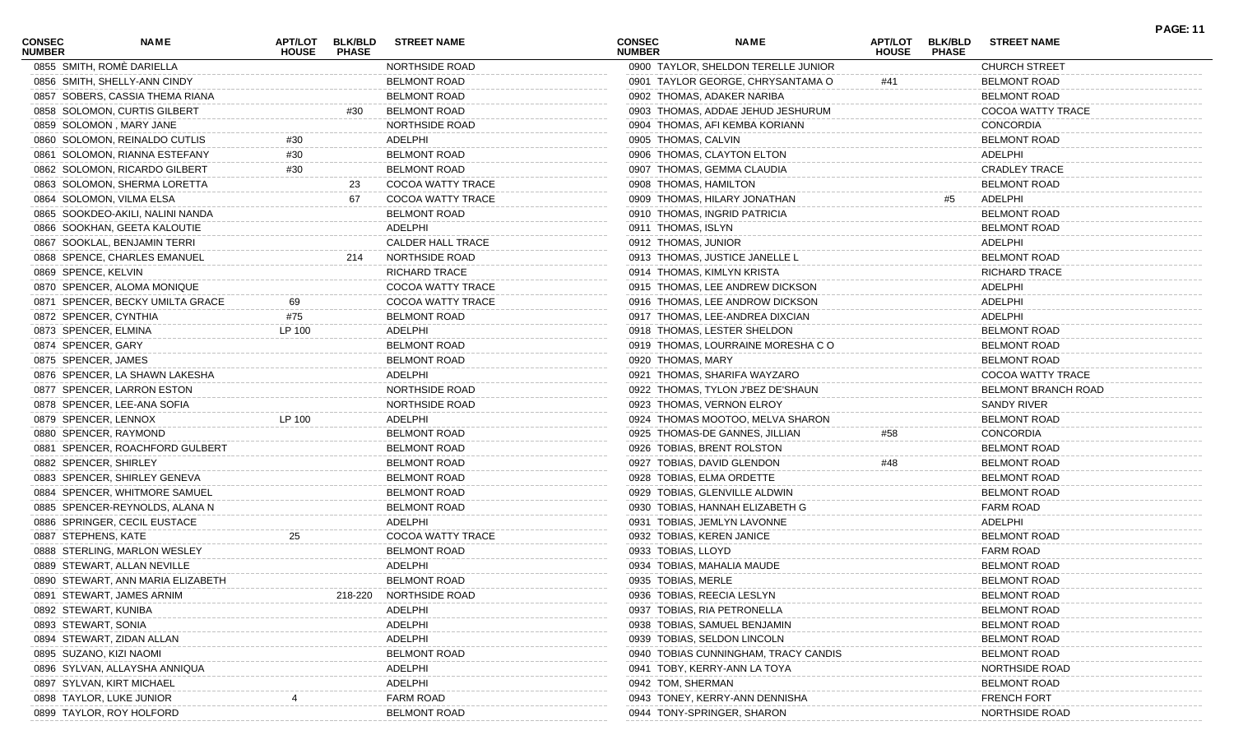| <b>CONSEC</b><br><b>NUMBER</b> | NAME                              | APT/LOT<br><b>HOUSE</b> | <b>BLK/BLD</b><br><b>PHASE</b> | <b>STREET NAME</b>       | <b>CONSEC</b><br><b>NUMBER</b> | <b>NAME</b>                          | APT/LOT<br><b>HOUSE</b> | <b>BLK/BLD</b><br><b>PHASE</b> | <b>STREET NAME</b>         | <b>PAGE: 11</b> |
|--------------------------------|-----------------------------------|-------------------------|--------------------------------|--------------------------|--------------------------------|--------------------------------------|-------------------------|--------------------------------|----------------------------|-----------------|
|                                | 0855 SMITH, ROMÈ DARIELLA         |                         |                                | NORTHSIDE ROAD           |                                | 0900 TAYLOR, SHELDON TERELLE JUNIOR  |                         |                                | <b>CHURCH STREET</b>       |                 |
|                                | 0856 SMITH, SHELLY-ANN CINDY      |                         |                                | <b>BELMONT ROAD</b>      |                                | 0901 TAYLOR GEORGE, CHRYSANTAMA O    | #41                     |                                | <b>BELMONT ROAD</b>        |                 |
|                                | 0857 SOBERS, CASSIA THEMA RIANA   |                         |                                | <b>BELMONT ROAD</b>      |                                | 0902 THOMAS, ADAKER NARIBA           |                         |                                | <b>BELMONT ROAD</b>        |                 |
|                                | 0858 SOLOMON, CURTIS GILBERT      |                         | #30                            | <b>BELMONT ROAD</b>      |                                | 0903 THOMAS, ADDAE JEHUD JESHURUM    |                         |                                | COCOA WATTY TRACE          |                 |
|                                | 0859 SOLOMON, MARY JANE           |                         |                                | <b>NORTHSIDE ROAD</b>    |                                | 0904 THOMAS, AFI KEMBA KORIANN       |                         |                                | <b>CONCORDIA</b>           |                 |
|                                | 0860 SOLOMON, REINALDO CUTLIS     | #30                     |                                | ADELPHI                  |                                | 0905 THOMAS, CALVIN                  |                         |                                | <b>BELMONT ROAD</b>        |                 |
|                                | 0861 SOLOMON, RIANNA ESTEFANY     | #30                     |                                | <b>BELMONT ROAD</b>      |                                | 0906 THOMAS, CLAYTON ELTON           |                         |                                | ADELPHI                    |                 |
|                                | 0862 SOLOMON, RICARDO GILBERT     | #30                     |                                | <b>BELMONT ROAD</b>      |                                | 0907 THOMAS, GEMMA CLAUDIA           |                         |                                | <b>CRADLEY TRACE</b>       |                 |
|                                | 0863 SOLOMON, SHERMA LORETTA      |                         | 23                             | COCOA WATTY TRACE        |                                | 0908 THOMAS, HAMILTON                |                         |                                | <b>BELMONT ROAD</b>        |                 |
|                                | 0864 SOLOMON, VILMA ELSA          |                         | 67                             | <b>COCOA WATTY TRACE</b> |                                | 0909 THOMAS, HILARY JONATHAN         |                         | #5                             | ADELPHI                    |                 |
|                                | 0865 SOOKDEO-AKILI, NALINI NANDA  |                         |                                | <b>BELMONT ROAD</b>      |                                | 0910 THOMAS, INGRID PATRICIA         |                         |                                | <b>BELMONT ROAD</b>        |                 |
|                                | 0866 SOOKHAN, GEETA KALOUTIE      |                         |                                | ADELPHI                  |                                | 0911 THOMAS, ISLYN                   |                         |                                | <b>BELMONT ROAD</b>        |                 |
|                                | 0867 SOOKLAL, BENJAMIN TERRI      |                         |                                | <b>CALDER HALL TRACE</b> |                                | 0912 THOMAS, JUNIOR                  |                         |                                | ADELPHI                    |                 |
|                                | 0868 SPENCE, CHARLES EMANUEL      |                         | 214                            | NORTHSIDE ROAD           |                                | 0913 THOMAS, JUSTICE JANELLE L       |                         |                                | <b>BELMONT ROAD</b>        |                 |
| 0869 SPENCE, KELVIN            |                                   |                         |                                | <b>RICHARD TRACE</b>     |                                | 0914 THOMAS, KIMLYN KRISTA           |                         |                                | <b>RICHARD TRACE</b>       |                 |
|                                | 0870 SPENCER, ALOMA MONIQUE       |                         |                                | COCOA WATTY TRACE        |                                | 0915 THOMAS, LEE ANDREW DICKSON      |                         |                                | ADELPHI                    |                 |
|                                | 0871 SPENCER, BECKY UMILTA GRACE  | 69                      |                                | COCOA WATTY TRACE        |                                | 0916 THOMAS, LEE ANDROW DICKSON      |                         |                                | ADELPHI                    |                 |
|                                | 0872 SPENCER, CYNTHIA             | #75                     |                                | <b>BELMONT ROAD</b>      |                                | 0917 THOMAS, LEE-ANDREA DIXCIAN      |                         |                                | ADELPHI                    |                 |
|                                | 0873 SPENCER, ELMINA              | LP 100                  |                                | ADELPHI                  |                                | 0918 THOMAS, LESTER SHELDON          |                         |                                | <b>BELMONT ROAD</b>        |                 |
| 0874 SPENCER, GARY             |                                   |                         |                                | <b>BELMONT ROAD</b>      |                                | 0919 THOMAS, LOURRAINE MORESHA CO    |                         |                                | <b>BELMONT ROAD</b>        |                 |
| 0875 SPENCER, JAMES            |                                   |                         |                                | <b>BELMONT ROAD</b>      |                                | 0920 THOMAS, MARY                    |                         |                                | <b>BELMONT ROAD</b>        |                 |
|                                | 0876 SPENCER, LA SHAWN LAKESHA    |                         |                                | ADELPHI                  |                                | 0921 THOMAS, SHARIFA WAYZARO         |                         |                                | COCOA WATTY TRACE          |                 |
|                                | 0877 SPENCER, LARRON ESTON        |                         |                                | <b>NORTHSIDE ROAD</b>    |                                | 0922 THOMAS, TYLON J'BEZ DE'SHAUN    |                         |                                | <b>BELMONT BRANCH ROAD</b> |                 |
|                                | 0878 SPENCER, LEE-ANA SOFIA       |                         |                                | NORTHSIDE ROAD           |                                | 0923 THOMAS, VERNON ELROY            |                         |                                | SANDY RIVER                |                 |
|                                | 0879 SPENCER, LENNOX              | LP 100                  |                                | ADELPHI                  |                                | 0924 THOMAS MOOTOO, MELVA SHARON     |                         |                                | <b>BELMONT ROAD</b>        |                 |
|                                | 0880 SPENCER, RAYMOND             |                         |                                | <b>BELMONT ROAD</b>      |                                | 0925 THOMAS-DE GANNES, JILLIAN       | #58                     |                                | <b>CONCORDIA</b>           |                 |
|                                | 0881 SPENCER, ROACHFORD GULBERT   |                         |                                | <b>BELMONT ROAD</b>      |                                | 0926 TOBIAS, BRENT ROLSTON           |                         |                                | <b>BELMONT ROAD</b>        |                 |
|                                | 0882 SPENCER, SHIRLEY             |                         |                                | <b>BELMONT ROAD</b>      |                                | 0927 TOBIAS, DAVID GLENDON           | #48                     |                                | <b>BELMONT ROAD</b>        |                 |
|                                | 0883 SPENCER, SHIRLEY GENEVA      |                         |                                | <b>BELMONT ROAD</b>      |                                | 0928 TOBIAS, ELMA ORDETTE            |                         |                                | <b>BELMONT ROAD</b>        |                 |
|                                | 0884 SPENCER, WHITMORE SAMUEL     |                         |                                | <b>BELMONT ROAD</b>      |                                | 0929 TOBIAS, GLENVILLE ALDWIN        |                         |                                | <b>BELMONT ROAD</b>        |                 |
|                                | 0885 SPENCER-REYNOLDS, ALANA N    |                         |                                | <b>BELMONT ROAD</b>      |                                | 0930 TOBIAS, HANNAH ELIZABETH G      |                         |                                | <b>FARM ROAD</b>           |                 |
|                                | 0886 SPRINGER, CECIL EUSTACE      |                         |                                | ADELPHI                  |                                | 0931 TOBIAS, JEMLYN LAVONNE          |                         |                                | ADELPHI                    |                 |
| 0887 STEPHENS, KATE            |                                   | 25                      |                                | COCOA WATTY TRACE        |                                | 0932 TOBIAS, KEREN JANICE            |                         |                                | <b>BELMONT ROAD</b>        |                 |
|                                | 0888 STERLING, MARLON WESLEY      |                         |                                | <b>BELMONT ROAD</b>      |                                | 0933 TOBIAS, LLOYD                   |                         |                                | <b>FARM ROAD</b>           |                 |
|                                | 0889 STEWART, ALLAN NEVILLE       |                         |                                | ADELPHI                  |                                | 0934 TOBIAS, MAHALIA MAUDE           |                         |                                | <b>BELMONT ROAD</b>        |                 |
|                                | 0890 STEWART, ANN MARIA ELIZABETH |                         |                                | <b>BELMONT ROAD</b>      |                                | 0935 TOBIAS, MERLE                   |                         |                                | <b>BELMONT ROAD</b>        |                 |
|                                |                                   |                         |                                | <b>NORTHSIDE ROAD</b>    |                                | 0936 TOBIAS, REECIA LESLYN           |                         |                                |                            |                 |
|                                | 0891 STEWART, JAMES ARNIM         |                         | 218-220                        |                          |                                |                                      |                         |                                | <b>BELMONT ROAD</b>        |                 |
|                                | 0892 STEWART, KUNIBA              |                         |                                | ADELPHI                  |                                | 0937 TOBIAS, RIA PETRONELLA          |                         |                                | <b>BELMONT ROAD</b>        |                 |
| 0893 STEWART, SONIA            |                                   |                         |                                | ADELPHI                  |                                | 0938 TOBIAS, SAMUEL BENJAMIN         |                         |                                | <b>BELMONT ROAD</b>        |                 |
|                                | 0894 STEWART, ZIDAN ALLAN         |                         |                                | ADELPHI                  |                                | 0939 TOBIAS, SELDON LINCOLN          |                         |                                | <b>BELMONT ROAD</b>        |                 |
|                                | 0895 SUZANO, KIZI NAOMI           |                         |                                | <b>BELMONT ROAD</b>      |                                | 0940 TOBIAS CUNNINGHAM, TRACY CANDIS |                         |                                | <b>BELMONT ROAD</b>        |                 |
|                                | 0896 SYLVAN, ALLAYSHA ANNIQUA     |                         |                                | ADELPHI                  |                                | 0941 TOBY, KERRY-ANN LA TOYA         |                         |                                | NORTHSIDE ROAD             |                 |
|                                | 0897 SYLVAN, KIRT MICHAEL         |                         |                                | ADELPHI                  |                                | 0942 TOM, SHERMAN                    |                         |                                | <b>BELMONT ROAD</b>        |                 |
|                                | 0898 TAYLOR, LUKE JUNIOR          |                         |                                | <b>FARM ROAD</b>         |                                | 0943 TONEY, KERRY-ANN DENNISHA       |                         |                                | <b>FRENCH FORT</b>         |                 |
|                                | 0899 TAYLOR, ROY HOLFORD          |                         |                                | <b>BELMONT ROAD</b>      |                                | 0944 TONY-SPRINGER, SHARON           |                         |                                | NORTHSIDE ROAD             |                 |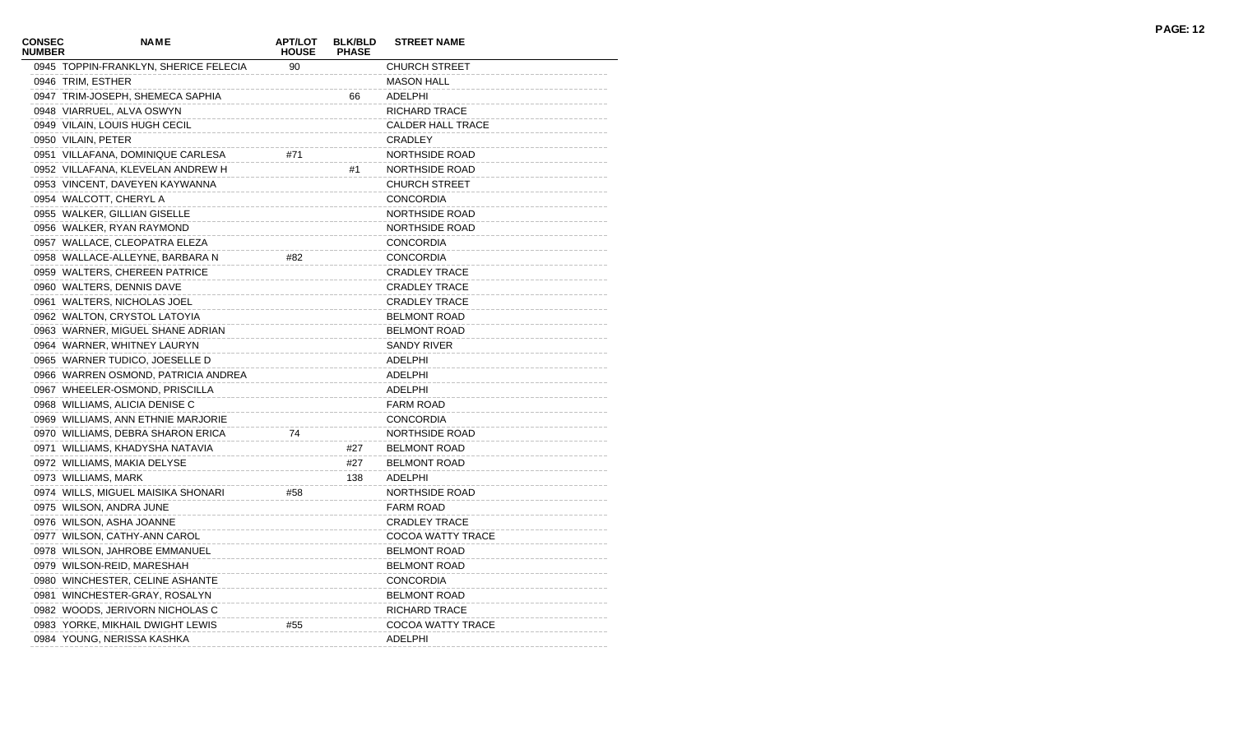| <b>CONSEC</b><br><b>NUMBER</b> | <b>NAME</b>                           | <b>APT/LOT</b><br><b>HOUSE</b> | <b>BLK/BLD</b><br><b>PHASE</b> | <b>STREET NAME</b>       |
|--------------------------------|---------------------------------------|--------------------------------|--------------------------------|--------------------------|
|                                | 0945 TOPPIN-FRANKLYN, SHERICE FELECIA | 90                             |                                | <b>CHURCH STREET</b>     |
|                                | 0946 TRIM, ESTHER                     |                                |                                | <b>MASON HALL</b>        |
|                                | 0947 TRIM-JOSEPH, SHEMECA SAPHIA      |                                | 66                             | ADELPHI                  |
|                                | 0948 VIARRUEL, ALVA OSWYN             |                                |                                | RICHARD TRACE            |
|                                | 0949 VILAIN, LOUIS HUGH CECIL         |                                |                                | <b>CALDER HALL TRACE</b> |
|                                | 0950 VILAIN, PETER                    |                                |                                | CRADLEY                  |
|                                | 0951 VILLAFANA, DOMINIQUE CARLESA     | #71                            |                                | NORTHSIDE ROAD           |
|                                | 0952 VILLAFANA, KLEVELAN ANDREW H     |                                | #1                             | NORTHSIDE ROAD           |
|                                | 0953 VINCENT, DAVEYEN KAYWANNA        |                                |                                | <b>CHURCH STREET</b>     |
|                                | 0954 WALCOTT, CHERYL A                |                                |                                | <b>CONCORDIA</b>         |
|                                | 0955 WALKER, GILLIAN GISELLE          |                                |                                | NORTHSIDE ROAD           |
|                                | 0956 WALKER, RYAN RAYMOND             |                                |                                | NORTHSIDE ROAD           |
|                                | 0957 WALLACE, CLEOPATRA ELEZA         |                                |                                | <b>CONCORDIA</b>         |
|                                | 0958 WALLACE-ALLEYNE, BARBARA N       | #82                            |                                | <b>CONCORDIA</b>         |
|                                | 0959 WALTERS, CHEREEN PATRICE         |                                |                                | <b>CRADLEY TRACE</b>     |
|                                | 0960 WALTERS, DENNIS DAVE             |                                |                                | <b>CRADLEY TRACE</b>     |
|                                | 0961 WALTERS, NICHOLAS JOEL           |                                |                                | <b>CRADLEY TRACE</b>     |
|                                | 0962 WALTON, CRYSTOL LATOYIA          |                                |                                | <b>BELMONT ROAD</b>      |
|                                | 0963 WARNER, MIGUEL SHANE ADRIAN      |                                |                                | <b>BELMONT ROAD</b>      |
|                                | 0964 WARNER, WHITNEY LAURYN           |                                |                                | <b>SANDY RIVER</b>       |
|                                | 0965 WARNER TUDICO, JOESELLE D        |                                |                                | ADELPHI                  |
|                                | 0966 WARREN OSMOND, PATRICIA ANDREA   |                                |                                | ADELPHI                  |
|                                | 0967 WHEELER-OSMOND, PRISCILLA        |                                |                                | ADELPHI                  |
|                                | 0968 WILLIAMS, ALICIA DENISE C        |                                |                                | <b>FARM ROAD</b>         |
|                                | 0969 WILLIAMS, ANN ETHNIE MARJORIE    |                                |                                | <b>CONCORDIA</b>         |
|                                | 0970 WILLIAMS, DEBRA SHARON ERICA     | 74                             |                                | <b>NORTHSIDE ROAD</b>    |
|                                | 0971 WILLIAMS, KHADYSHA NATAVIA       |                                | #27                            | <b>BELMONT ROAD</b>      |
|                                | 0972 WILLIAMS, MAKIA DELYSE           |                                | #27                            | <b>BELMONT ROAD</b>      |
|                                | 0973 WILLIAMS, MARK                   |                                | 138                            | ADELPHI                  |
|                                | 0974 WILLS, MIGUEL MAISIKA SHONARI    | #58                            |                                | NORTHSIDE ROAD           |
|                                | 0975 WILSON, ANDRA JUNE               |                                |                                | <b>FARM ROAD</b>         |
|                                | 0976 WILSON, ASHA JOANNE              |                                |                                | <b>CRADLEY TRACE</b>     |
|                                | 0977 WILSON, CATHY-ANN CAROL          |                                |                                | COCOA WATTY TRACE        |
|                                | 0978 WILSON, JAHROBE EMMANUEL         |                                |                                | <b>BELMONT ROAD</b>      |
|                                | 0979 WILSON-REID, MARESHAH            |                                |                                | <b>BELMONT ROAD</b>      |
|                                | 0980 WINCHESTER, CELINE ASHANTE       |                                |                                | <b>CONCORDIA</b>         |
|                                | 0981 WINCHESTER-GRAY, ROSALYN         |                                |                                | <b>BELMONT ROAD</b>      |
|                                | 0982 WOODS, JERIVORN NICHOLAS C       |                                |                                | RICHARD TRACE            |
|                                | 0983 YORKE, MIKHAIL DWIGHT LEWIS      | #55                            |                                | COCOA WATTY TRACE        |
|                                | 0984 YOUNG, NERISSA KASHKA            |                                |                                | ADELPHI                  |